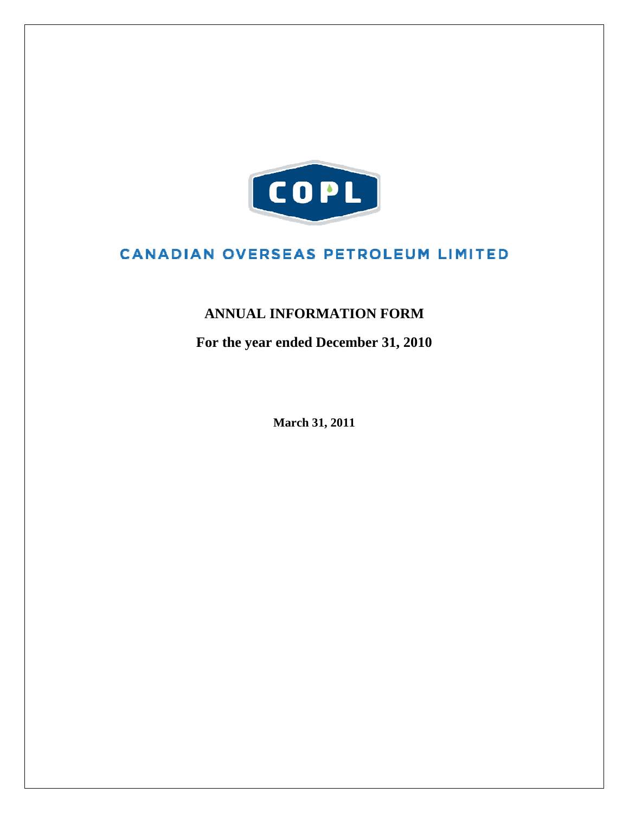

# **CANADIAN OVERSEAS PETROLEUM LIMITED**

# **ANNUAL INFORMATION FORM**

**For the year ended December 31, 2010** 

**March 31, 2011**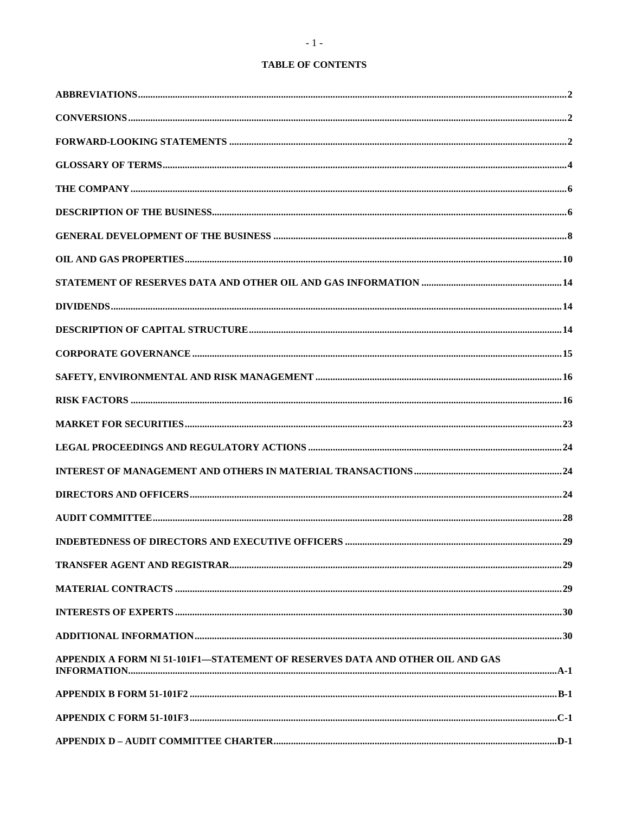# **TABLE OF CONTENTS**

| APPENDIX A FORM NI 51-101F1-STATEMENT OF RESERVES DATA AND OTHER OIL AND GAS |  |
|------------------------------------------------------------------------------|--|
|                                                                              |  |
|                                                                              |  |
|                                                                              |  |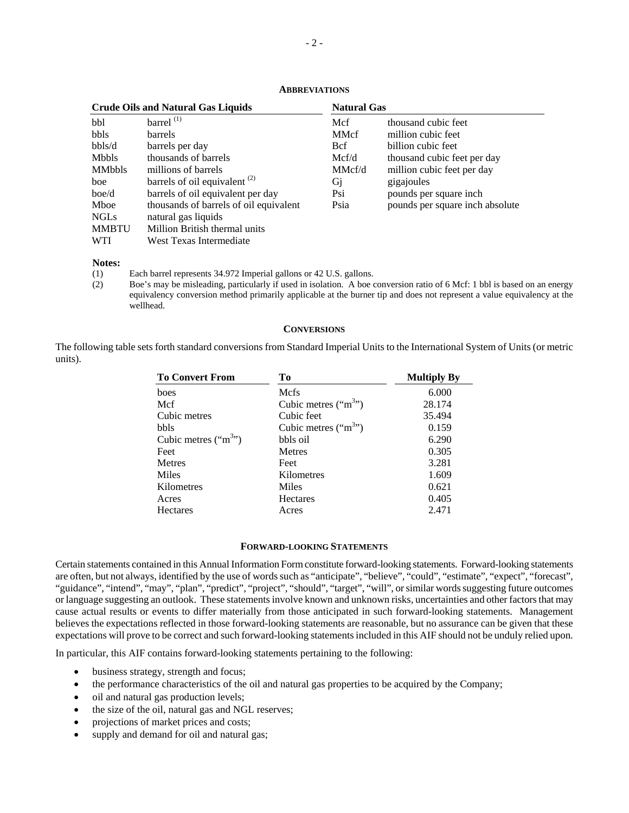| <b>Crude Oils and Natural Gas Liquids</b> |                                        | <b>Natural Gas</b> |                                 |  |
|-------------------------------------------|----------------------------------------|--------------------|---------------------------------|--|
| bbl                                       | barrel $(1)$                           | Mcf                | thousand cubic feet             |  |
| <b>bbls</b>                               | <b>barrels</b>                         | <b>MMcf</b>        | million cubic feet              |  |
| bbls/d                                    | barrels per day                        | Bcf                | billion cubic feet              |  |
| <b>Mbbls</b>                              | thousands of barrels                   | Mcf/d              | thousand cubic feet per day     |  |
| <b>MMbbls</b>                             | millions of barrels                    | MMcf/d             | million cubic feet per day      |  |
| boe                                       | barrels of oil equivalent $(2)$        | Gj                 | gigajoules                      |  |
| boe/d                                     | barrels of oil equivalent per day      | Psi                | pounds per square inch.         |  |
| Mboe                                      | thousands of barrels of oil equivalent | Psia               | pounds per square inch absolute |  |
| <b>NGLs</b>                               | natural gas liquids                    |                    |                                 |  |
| <b>MMBTU</b>                              | Million British thermal units          |                    |                                 |  |
| <b>WTI</b>                                | West Texas Intermediate                |                    |                                 |  |

#### **ABBREVIATIONS**

**Notes:** 

(1) Each barrel represents 34.972 Imperial gallons or 42 U.S. gallons.

(2) Boe's may be misleading, particularly if used in isolation. A boe conversion ratio of 6 Mcf: 1 bbl is based on an energy equivalency conversion method primarily applicable at the burner tip and does not represent a value equivalency at the wellhead.

#### **CONVERSIONS**

The following table sets forth standard conversions from Standard Imperial Units to the International System of Units (or metric units).

| <b>To Convert From</b> | Tо                    | <b>Multiply By</b> |
|------------------------|-----------------------|--------------------|
| boes                   | Mcfs                  | 6.000              |
| Mcf                    | Cubic metres $("m3")$ | 28.174             |
| Cubic metres           | Cubic feet            | 35.494             |
| bbls                   | Cubic metres $("m3")$ | 0.159              |
| Cubic metres $("m3")$  | bbls oil              | 6.290              |
| Feet                   | <b>Metres</b>         | 0.305              |
| <b>Metres</b>          | Feet                  | 3.281              |
| Miles                  | Kilometres            | 1.609              |
| Kilometres             | Miles                 | 0.621              |
| Acres                  | <b>Hectares</b>       | 0.405              |
| <b>Hectares</b>        | Acres                 | 2.471              |

#### **FORWARD-LOOKING STATEMENTS**

Certain statements contained in this Annual Information Form constitute forward-looking statements. Forward-looking statements are often, but not always, identified by the use of words such as "anticipate", "believe", "could", "estimate", "expect", "forecast", "guidance", "intend", "may", "plan", "predict", "project", "should", "target", "will", or similar words suggesting future outcomes or language suggesting an outlook. These statements involve known and unknown risks, uncertainties and other factors that may cause actual results or events to differ materially from those anticipated in such forward-looking statements. Management believes the expectations reflected in those forward-looking statements are reasonable, but no assurance can be given that these expectations will prove to be correct and such forward-looking statements included in this AIF should not be unduly relied upon.

In particular, this AIF contains forward-looking statements pertaining to the following:

- business strategy, strength and focus;
- the performance characteristics of the oil and natural gas properties to be acquired by the Company;
- oil and natural gas production levels;
- the size of the oil, natural gas and NGL reserves;
- projections of market prices and costs;
- supply and demand for oil and natural gas;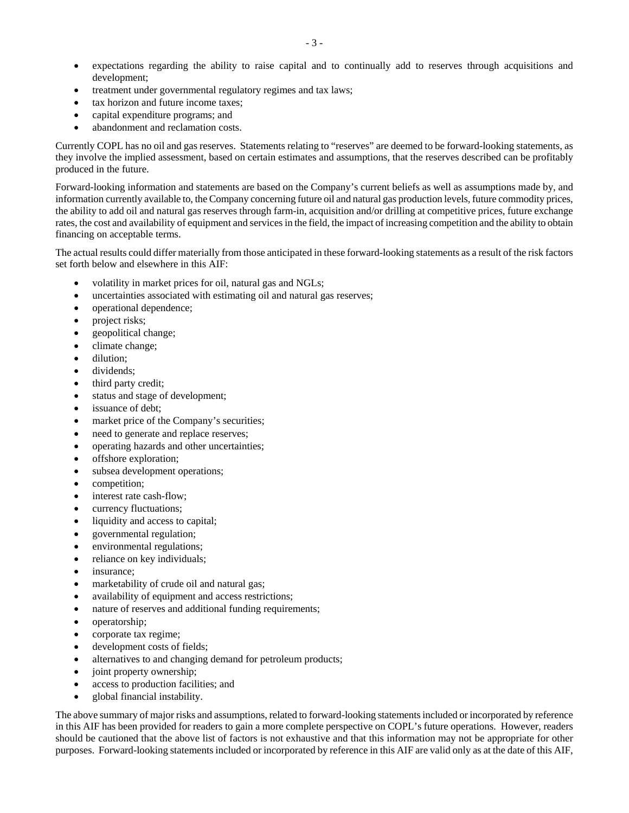- expectations regarding the ability to raise capital and to continually add to reserves through acquisitions and development;
- treatment under governmental regulatory regimes and tax laws;
- tax horizon and future income taxes;
- capital expenditure programs; and
- abandonment and reclamation costs.

Currently COPL has no oil and gas reserves. Statements relating to "reserves" are deemed to be forward-looking statements, as they involve the implied assessment, based on certain estimates and assumptions, that the reserves described can be profitably produced in the future.

Forward-looking information and statements are based on the Company's current beliefs as well as assumptions made by, and information currently available to, the Company concerning future oil and natural gas production levels, future commodity prices, the ability to add oil and natural gas reserves through farm-in, acquisition and/or drilling at competitive prices, future exchange rates, the cost and availability of equipment and services in the field, the impact of increasing competition and the ability to obtain financing on acceptable terms.

The actual results could differ materially from those anticipated in these forward-looking statements as a result of the risk factors set forth below and elsewhere in this AIF:

- volatility in market prices for oil, natural gas and NGLs;
- uncertainties associated with estimating oil and natural gas reserves;
- operational dependence;
- project risks;
- geopolitical change;
- climate change;
- dilution;
- dividends;
- third party credit;
- status and stage of development;
- issuance of debt;
- market price of the Company's securities;
- need to generate and replace reserves;
- operating hazards and other uncertainties;
- offshore exploration;
- subsea development operations;
- competition;
- interest rate cash-flow;
- currency fluctuations;
- liquidity and access to capital;
- governmental regulation;
- environmental regulations;
- reliance on key individuals;
- insurance;
- marketability of crude oil and natural gas;
- availability of equipment and access restrictions;
- nature of reserves and additional funding requirements;
- operatorship;
- corporate tax regime;
- development costs of fields;
- alternatives to and changing demand for petroleum products;
- joint property ownership;
- access to production facilities; and
- global financial instability.

The above summary of major risks and assumptions, related to forward-looking statements included or incorporated by reference in this AIF has been provided for readers to gain a more complete perspective on COPL's future operations. However, readers should be cautioned that the above list of factors is not exhaustive and that this information may not be appropriate for other purposes. Forward-looking statements included or incorporated by reference in this AIF are valid only as at the date of this AIF,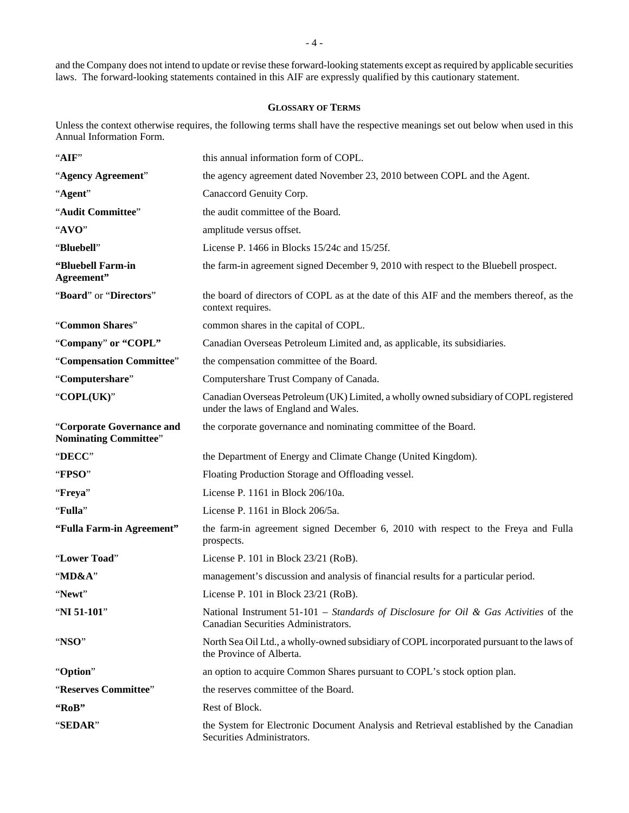and the Company does not intend to update or revise these forward-looking statements except as required by applicable securities laws. The forward-looking statements contained in this AIF are expressly qualified by this cautionary statement.

# **GLOSSARY OF TERMS**

Unless the context otherwise requires, the following terms shall have the respective meanings set out below when used in this Annual Information Form.

| "AIF"                                                     | this annual information form of COPL.                                                                                          |
|-----------------------------------------------------------|--------------------------------------------------------------------------------------------------------------------------------|
| "Agency Agreement"                                        | the agency agreement dated November 23, 2010 between COPL and the Agent.                                                       |
| "Agent"                                                   | Canaccord Genuity Corp.                                                                                                        |
| "Audit Committee"                                         | the audit committee of the Board.                                                                                              |
| "AVO"                                                     | amplitude versus offset.                                                                                                       |
| "Bluebell"                                                | License P. 1466 in Blocks 15/24c and 15/25f.                                                                                   |
| "Bluebell Farm-in<br>Agreement"                           | the farm-in agreement signed December 9, 2010 with respect to the Bluebell prospect.                                           |
| "Board" or "Directors"                                    | the board of directors of COPL as at the date of this AIF and the members thereof, as the<br>context requires.                 |
| "Common Shares"                                           | common shares in the capital of COPL.                                                                                          |
| "Company" or "COPL"                                       | Canadian Overseas Petroleum Limited and, as applicable, its subsidiaries.                                                      |
| "Compensation Committee"                                  | the compensation committee of the Board.                                                                                       |
| "Computershare"                                           | Computershare Trust Company of Canada.                                                                                         |
| "COPL(UK)"                                                | Canadian Overseas Petroleum (UK) Limited, a wholly owned subsidiary of COPL registered<br>under the laws of England and Wales. |
| "Corporate Governance and<br><b>Nominating Committee"</b> | the corporate governance and nominating committee of the Board.                                                                |
| "DECC"                                                    | the Department of Energy and Climate Change (United Kingdom).                                                                  |
| "FPSO"                                                    | Floating Production Storage and Offloading vessel.                                                                             |
| "Freya"                                                   | License P. 1161 in Block 206/10a.                                                                                              |
| "Fulla"                                                   | License P. 1161 in Block 206/5a.                                                                                               |
| "Fulla Farm-in Agreement"                                 | the farm-in agreement signed December 6, 2010 with respect to the Freya and Fulla<br>prospects.                                |
| "Lower Toad"                                              | License P. 101 in Block 23/21 (RoB).                                                                                           |
| "MD&A"                                                    | management's discussion and analysis of financial results for a particular period.                                             |
| "Newt"                                                    | License P. 101 in Block 23/21 (RoB).                                                                                           |
| "NI 51-101"                                               | National Instrument 51-101 – Standards of Disclosure for Oil & Gas Activities of the<br>Canadian Securities Administrators.    |
| "NSO"                                                     | North Sea Oil Ltd., a wholly-owned subsidiary of COPL incorporated pursuant to the laws of<br>the Province of Alberta.         |
| "Option"                                                  | an option to acquire Common Shares pursuant to COPL's stock option plan.                                                       |
|                                                           |                                                                                                                                |
| "Reserves Committee"                                      | the reserves committee of the Board.                                                                                           |
| "RoB"                                                     | Rest of Block.                                                                                                                 |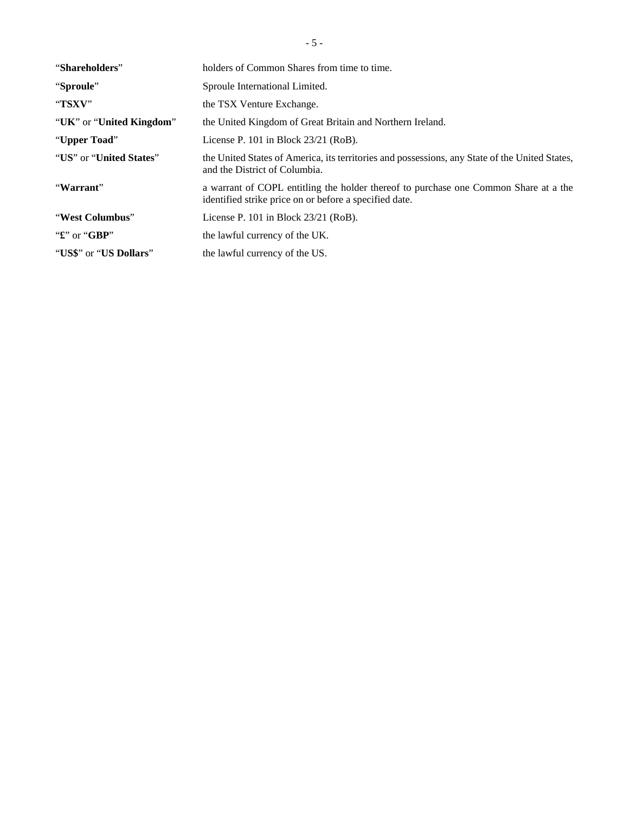| "Shareholders"            | holders of Common Shares from time to time.                                                                                                    |
|---------------------------|------------------------------------------------------------------------------------------------------------------------------------------------|
| "Sproule"                 | Sproule International Limited.                                                                                                                 |
| "TSXV"                    | the TSX Venture Exchange.                                                                                                                      |
| "UK" or "United Kingdom"  | the United Kingdom of Great Britain and Northern Ireland.                                                                                      |
| "Upper Toad"              | License P. $101$ in Block $23/21$ (RoB).                                                                                                       |
| "US" or "United States"   | the United States of America, its territories and possessions, any State of the United States,<br>and the District of Columbia.                |
| "Warrant"                 | a warrant of COPL entitling the holder thereof to purchase one Common Share at a the<br>identified strike price on or before a specified date. |
| "West Columbus"           | License P. 101 in Block $23/21$ (RoB).                                                                                                         |
| " $\mathbf{f}$ " or "GBP" | the lawful currency of the UK.                                                                                                                 |
| "US\$" or "US Dollars"    | the lawful currency of the US.                                                                                                                 |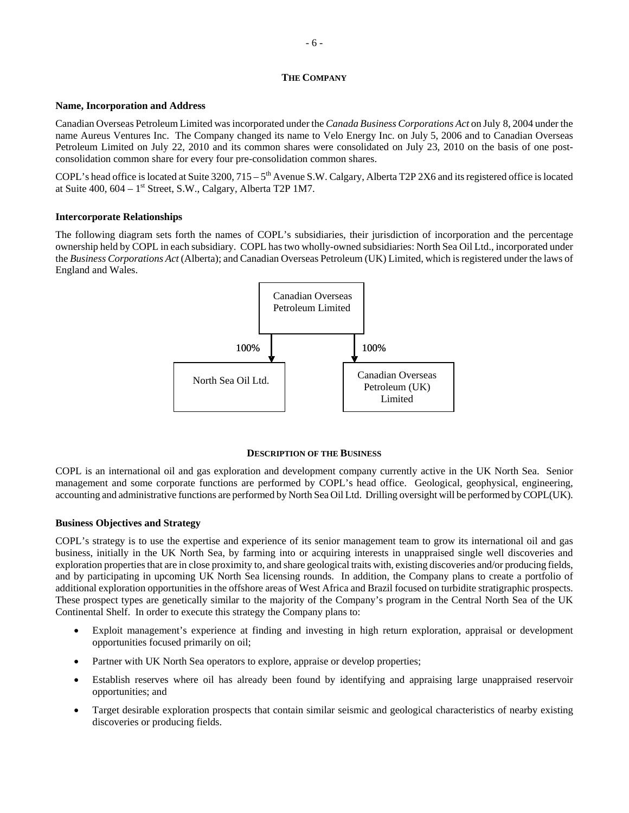#### **THE COMPANY**

#### **Name, Incorporation and Address**

Canadian Overseas Petroleum Limited was incorporated under the *Canada Business Corporations Act* on July 8, 2004 under the name Aureus Ventures Inc. The Company changed its name to Velo Energy Inc. on July 5, 2006 and to Canadian Overseas Petroleum Limited on July 22, 2010 and its common shares were consolidated on July 23, 2010 on the basis of one postconsolidation common share for every four pre-consolidation common shares.

COPL's head office is located at Suite 3200,  $715 - 5<sup>th</sup>$  Avenue S.W. Calgary, Alberta T2P 2X6 and its registered office is located at Suite  $400$ ,  $604 - 1$ <sup>st</sup> Street, S.W., Calgary, Alberta T2P 1M7.

# **Intercorporate Relationships**

The following diagram sets forth the names of COPL's subsidiaries, their jurisdiction of incorporation and the percentage ownership held by COPL in each subsidiary. COPL has two wholly-owned subsidiaries: North Sea Oil Ltd., incorporated under the *Business Corporations Act* (Alberta); and Canadian Overseas Petroleum (UK) Limited, which is registered under the laws of England and Wales.



#### **DESCRIPTION OF THE BUSINESS**

COPL is an international oil and gas exploration and development company currently active in the UK North Sea. Senior management and some corporate functions are performed by COPL's head office. Geological, geophysical, engineering, accounting and administrative functions are performed by North Sea Oil Ltd. Drilling oversight will be performed by COPL(UK).

# **Business Objectives and Strategy**

COPL's strategy is to use the expertise and experience of its senior management team to grow its international oil and gas business, initially in the UK North Sea, by farming into or acquiring interests in unappraised single well discoveries and exploration properties that are in close proximity to, and share geological traits with, existing discoveries and/or producing fields, and by participating in upcoming UK North Sea licensing rounds. In addition, the Company plans to create a portfolio of additional exploration opportunities in the offshore areas of West Africa and Brazil focused on turbidite stratigraphic prospects. These prospect types are genetically similar to the majority of the Company's program in the Central North Sea of the UK Continental Shelf. In order to execute this strategy the Company plans to:

- Exploit management's experience at finding and investing in high return exploration, appraisal or development opportunities focused primarily on oil;
- Partner with UK North Sea operators to explore, appraise or develop properties;
- Establish reserves where oil has already been found by identifying and appraising large unappraised reservoir opportunities; and
- Target desirable exploration prospects that contain similar seismic and geological characteristics of nearby existing discoveries or producing fields.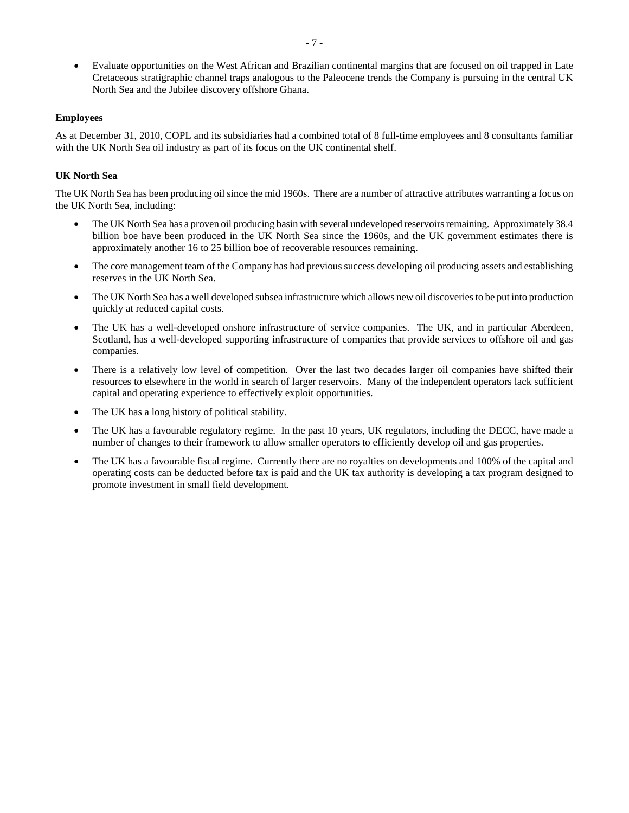Evaluate opportunities on the West African and Brazilian continental margins that are focused on oil trapped in Late Cretaceous stratigraphic channel traps analogous to the Paleocene trends the Company is pursuing in the central UK North Sea and the Jubilee discovery offshore Ghana.

# **Employees**

As at December 31, 2010, COPL and its subsidiaries had a combined total of 8 full-time employees and 8 consultants familiar with the UK North Sea oil industry as part of its focus on the UK continental shelf.

# **UK North Sea**

The UK North Sea has been producing oil since the mid 1960s. There are a number of attractive attributes warranting a focus on the UK North Sea, including:

- The UK North Sea has a proven oil producing basin with several undeveloped reservoirs remaining. Approximately 38.4 billion boe have been produced in the UK North Sea since the 1960s, and the UK government estimates there is approximately another 16 to 25 billion boe of recoverable resources remaining.
- The core management team of the Company has had previous success developing oil producing assets and establishing reserves in the UK North Sea.
- The UK North Sea has a well developed subsea infrastructure which allows new oil discoveries to be put into production quickly at reduced capital costs.
- The UK has a well-developed onshore infrastructure of service companies. The UK, and in particular Aberdeen, Scotland, has a well-developed supporting infrastructure of companies that provide services to offshore oil and gas companies.
- There is a relatively low level of competition. Over the last two decades larger oil companies have shifted their resources to elsewhere in the world in search of larger reservoirs. Many of the independent operators lack sufficient capital and operating experience to effectively exploit opportunities.
- The UK has a long history of political stability.
- The UK has a favourable regulatory regime. In the past 10 years, UK regulators, including the DECC, have made a number of changes to their framework to allow smaller operators to efficiently develop oil and gas properties.
- The UK has a favourable fiscal regime. Currently there are no royalties on developments and 100% of the capital and operating costs can be deducted before tax is paid and the UK tax authority is developing a tax program designed to promote investment in small field development.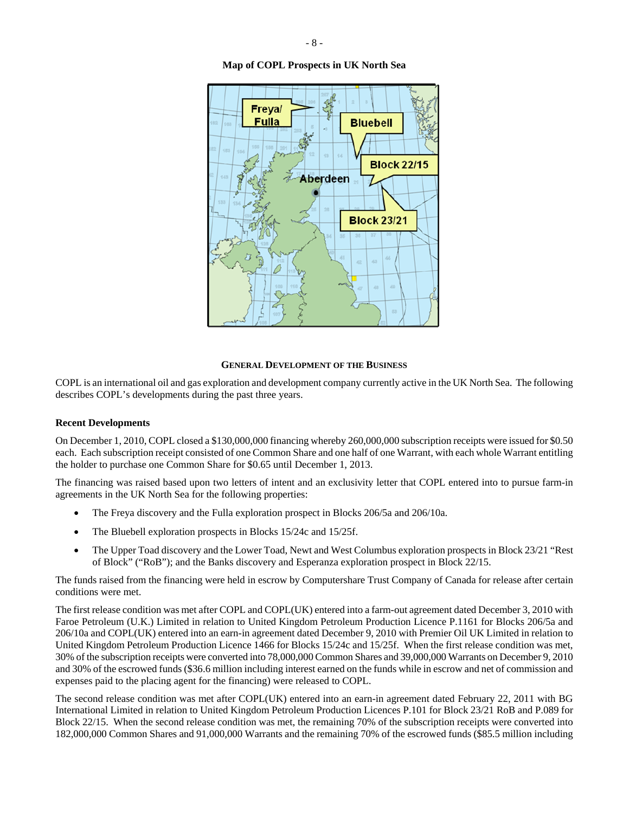**Map of COPL Prospects in UK North Sea** 



#### **GENERAL DEVELOPMENT OF THE BUSINESS**

COPL is an international oil and gas exploration and development company currently active in the UK North Sea. The following describes COPL's developments during the past three years.

# **Recent Developments**

On December 1, 2010, COPL closed a \$130,000,000 financing whereby 260,000,000 subscription receipts were issued for \$0.50 each. Each subscription receipt consisted of one Common Share and one half of one Warrant, with each whole Warrant entitling the holder to purchase one Common Share for \$0.65 until December 1, 2013.

The financing was raised based upon two letters of intent and an exclusivity letter that COPL entered into to pursue farm-in agreements in the UK North Sea for the following properties:

- The Freya discovery and the Fulla exploration prospect in Blocks 206/5a and 206/10a.
- The Bluebell exploration prospects in Blocks 15/24c and 15/25f.
- The Upper Toad discovery and the Lower Toad, Newt and West Columbus exploration prospects in Block 23/21 "Rest of Block" ("RoB"); and the Banks discovery and Esperanza exploration prospect in Block 22/15.

The funds raised from the financing were held in escrow by Computershare Trust Company of Canada for release after certain conditions were met.

The first release condition was met after COPL and COPL(UK) entered into a farm-out agreement dated December 3, 2010 with Faroe Petroleum (U.K.) Limited in relation to United Kingdom Petroleum Production Licence P.1161 for Blocks 206/5a and 206/10a and COPL(UK) entered into an earn-in agreement dated December 9, 2010 with Premier Oil UK Limited in relation to United Kingdom Petroleum Production Licence 1466 for Blocks 15/24c and 15/25f. When the first release condition was met, 30% of the subscription receipts were converted into 78,000,000 Common Shares and 39,000,000 Warrants on December 9, 2010 and 30% of the escrowed funds (\$36.6 million including interest earned on the funds while in escrow and net of commission and expenses paid to the placing agent for the financing) were released to COPL.

The second release condition was met after COPL(UK) entered into an earn-in agreement dated February 22, 2011 with BG International Limited in relation to United Kingdom Petroleum Production Licences P.101 for Block 23/21 RoB and P.089 for Block 22/15. When the second release condition was met, the remaining 70% of the subscription receipts were converted into 182,000,000 Common Shares and 91,000,000 Warrants and the remaining 70% of the escrowed funds (\$85.5 million including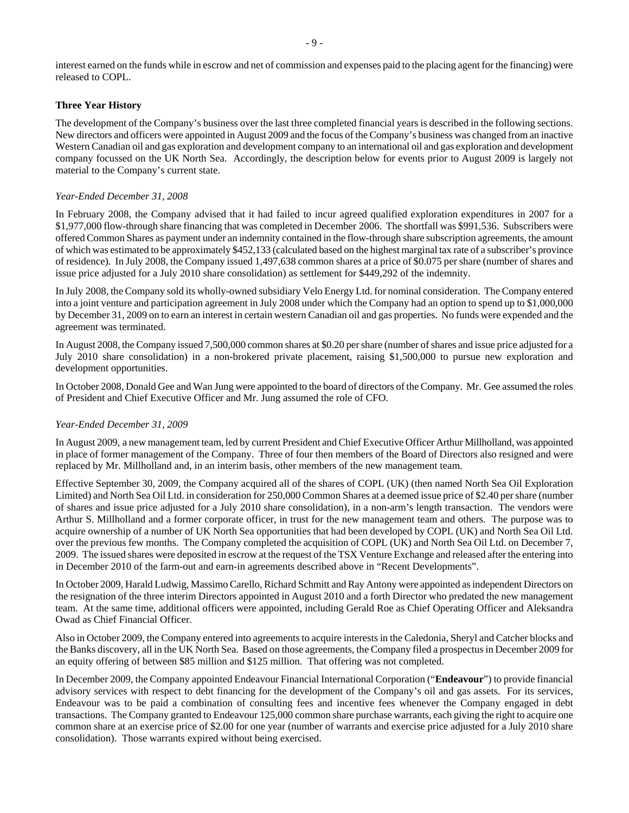interest earned on the funds while in escrow and net of commission and expenses paid to the placing agent for the financing) were released to COPL.

#### **Three Year History**

The development of the Company's business over the last three completed financial years is described in the following sections. New directors and officers were appointed in August 2009 and the focus of the Company's business was changed from an inactive Western Canadian oil and gas exploration and development company to an international oil and gas exploration and development company focussed on the UK North Sea. Accordingly, the description below for events prior to August 2009 is largely not material to the Company's current state.

#### *Year-Ended December 31, 2008*

In February 2008, the Company advised that it had failed to incur agreed qualified exploration expenditures in 2007 for a \$1,977,000 flow-through share financing that was completed in December 2006. The shortfall was \$991,536. Subscribers were offered Common Shares as payment under an indemnity contained in the flow-through share subscription agreements, the amount of which was estimated to be approximately \$452,133 (calculated based on the highest marginal tax rate of a subscriber's province of residence). In July 2008, the Company issued 1,497,638 common shares at a price of \$0.075 per share (number of shares and issue price adjusted for a July 2010 share consolidation) as settlement for \$449,292 of the indemnity.

In July 2008, the Company sold its wholly-owned subsidiary Velo Energy Ltd. for nominal consideration. The Company entered into a joint venture and participation agreement in July 2008 under which the Company had an option to spend up to \$1,000,000 by December 31, 2009 on to earn an interest in certain western Canadian oil and gas properties. No funds were expended and the agreement was terminated.

In August 2008, the Company issued 7,500,000 common shares at \$0.20 per share (number of shares and issue price adjusted for a July 2010 share consolidation) in a non-brokered private placement, raising \$1,500,000 to pursue new exploration and development opportunities.

In October 2008, Donald Gee and Wan Jung were appointed to the board of directors of the Company. Mr. Gee assumed the roles of President and Chief Executive Officer and Mr. Jung assumed the role of CFO.

#### *Year-Ended December 31, 2009*

In August 2009, a new management team, led by current President and Chief Executive Officer Arthur Millholland, was appointed in place of former management of the Company. Three of four then members of the Board of Directors also resigned and were replaced by Mr. Millholland and, in an interim basis, other members of the new management team.

Effective September 30, 2009, the Company acquired all of the shares of COPL (UK) (then named North Sea Oil Exploration Limited) and North Sea Oil Ltd. in consideration for 250,000 Common Shares at a deemed issue price of \$2.40 per share (number of shares and issue price adjusted for a July 2010 share consolidation), in a non-arm's length transaction. The vendors were Arthur S. Millholland and a former corporate officer, in trust for the new management team and others. The purpose was to acquire ownership of a number of UK North Sea opportunities that had been developed by COPL (UK) and North Sea Oil Ltd. over the previous few months. The Company completed the acquisition of COPL (UK) and North Sea Oil Ltd. on December 7, 2009. The issued shares were deposited in escrow at the request of the TSX Venture Exchange and released after the entering into in December 2010 of the farm-out and earn-in agreements described above in "Recent Developments".

In October 2009, Harald Ludwig, Massimo Carello, Richard Schmitt and Ray Antony were appointed as independent Directors on the resignation of the three interim Directors appointed in August 2010 and a forth Director who predated the new management team. At the same time, additional officers were appointed, including Gerald Roe as Chief Operating Officer and Aleksandra Owad as Chief Financial Officer.

Also in October 2009, the Company entered into agreements to acquire interests in the Caledonia, Sheryl and Catcher blocks and the Banks discovery, all in the UK North Sea. Based on those agreements, the Company filed a prospectus in December 2009 for an equity offering of between \$85 million and \$125 million. That offering was not completed.

In December 2009, the Company appointed Endeavour Financial International Corporation ("**Endeavour**") to provide financial advisory services with respect to debt financing for the development of the Company's oil and gas assets. For its services, Endeavour was to be paid a combination of consulting fees and incentive fees whenever the Company engaged in debt transactions. The Company granted to Endeavour 125,000 common share purchase warrants, each giving the right to acquire one common share at an exercise price of \$2.00 for one year (number of warrants and exercise price adjusted for a July 2010 share consolidation). Those warrants expired without being exercised.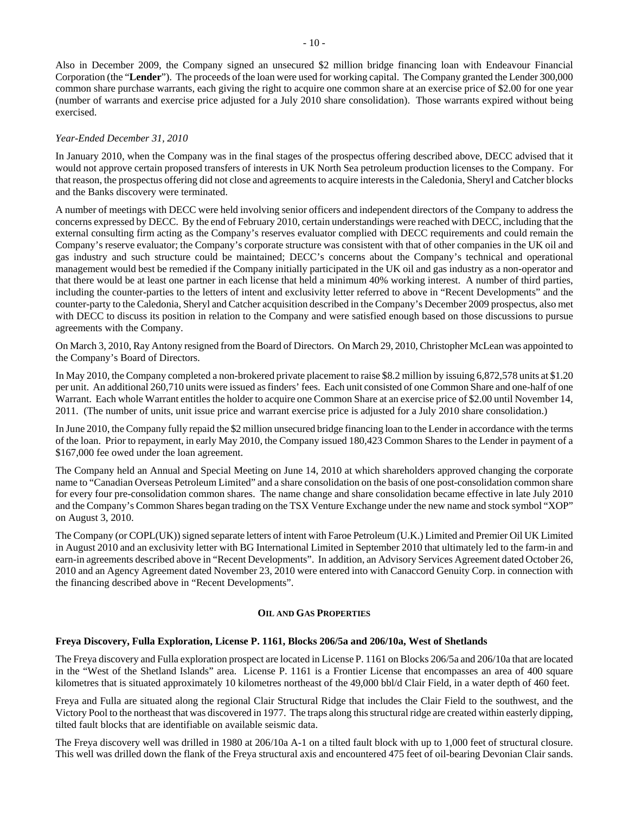Also in December 2009, the Company signed an unsecured \$2 million bridge financing loan with Endeavour Financial Corporation (the "**Lender**"). The proceeds of the loan were used for working capital. The Company granted the Lender 300,000 common share purchase warrants, each giving the right to acquire one common share at an exercise price of \$2.00 for one year (number of warrants and exercise price adjusted for a July 2010 share consolidation). Those warrants expired without being exercised.

# *Year-Ended December 31, 2010*

In January 2010, when the Company was in the final stages of the prospectus offering described above, DECC advised that it would not approve certain proposed transfers of interests in UK North Sea petroleum production licenses to the Company. For that reason, the prospectus offering did not close and agreements to acquire interests in the Caledonia, Sheryl and Catcher blocks and the Banks discovery were terminated.

A number of meetings with DECC were held involving senior officers and independent directors of the Company to address the concerns expressed by DECC. By the end of February 2010, certain understandings were reached with DECC, including that the external consulting firm acting as the Company's reserves evaluator complied with DECC requirements and could remain the Company's reserve evaluator; the Company's corporate structure was consistent with that of other companies in the UK oil and gas industry and such structure could be maintained; DECC's concerns about the Company's technical and operational management would best be remedied if the Company initially participated in the UK oil and gas industry as a non-operator and that there would be at least one partner in each license that held a minimum 40% working interest. A number of third parties, including the counter-parties to the letters of intent and exclusivity letter referred to above in "Recent Developments" and the counter-party to the Caledonia, Sheryl and Catcher acquisition described in the Company's December 2009 prospectus, also met with DECC to discuss its position in relation to the Company and were satisfied enough based on those discussions to pursue agreements with the Company.

On March 3, 2010, Ray Antony resigned from the Board of Directors. On March 29, 2010, Christopher McLean was appointed to the Company's Board of Directors.

In May 2010, the Company completed a non-brokered private placement to raise \$8.2 million by issuing 6,872,578 units at \$1.20 per unit. An additional 260,710 units were issued as finders' fees. Each unit consisted of one Common Share and one-half of one Warrant. Each whole Warrant entitles the holder to acquire one Common Share at an exercise price of \$2.00 until November 14, 2011. (The number of units, unit issue price and warrant exercise price is adjusted for a July 2010 share consolidation.)

In June 2010, the Company fully repaid the \$2 million unsecured bridge financing loan to the Lender in accordance with the terms of the loan. Prior to repayment, in early May 2010, the Company issued 180,423 Common Shares to the Lender in payment of a \$167,000 fee owed under the loan agreement.

The Company held an Annual and Special Meeting on June 14, 2010 at which shareholders approved changing the corporate name to "Canadian Overseas Petroleum Limited" and a share consolidation on the basis of one post-consolidation common share for every four pre-consolidation common shares. The name change and share consolidation became effective in late July 2010 and the Company's Common Shares began trading on the TSX Venture Exchange under the new name and stock symbol "XOP" on August 3, 2010.

The Company (or COPL(UK)) signed separate letters of intent with Faroe Petroleum (U.K.) Limited and Premier Oil UK Limited in August 2010 and an exclusivity letter with BG International Limited in September 2010 that ultimately led to the farm-in and earn-in agreements described above in "Recent Developments". In addition, an Advisory Services Agreement dated October 26, 2010 and an Agency Agreement dated November 23, 2010 were entered into with Canaccord Genuity Corp. in connection with the financing described above in "Recent Developments".

#### **OIL AND GAS PROPERTIES**

#### **Freya Discovery, Fulla Exploration, License P. 1161, Blocks 206/5a and 206/10a, West of Shetlands**

The Freya discovery and Fulla exploration prospect are located in License P. 1161 on Blocks 206/5a and 206/10a that are located in the "West of the Shetland Islands" area. License P. 1161 is a Frontier License that encompasses an area of 400 square kilometres that is situated approximately 10 kilometres northeast of the 49,000 bbl/d Clair Field, in a water depth of 460 feet.

Freya and Fulla are situated along the regional Clair Structural Ridge that includes the Clair Field to the southwest, and the Victory Pool to the northeast that was discovered in 1977. The traps along this structural ridge are created within easterly dipping, tilted fault blocks that are identifiable on available seismic data.

The Freya discovery well was drilled in 1980 at 206/10a A-1 on a tilted fault block with up to 1,000 feet of structural closure. This well was drilled down the flank of the Freya structural axis and encountered 475 feet of oil-bearing Devonian Clair sands.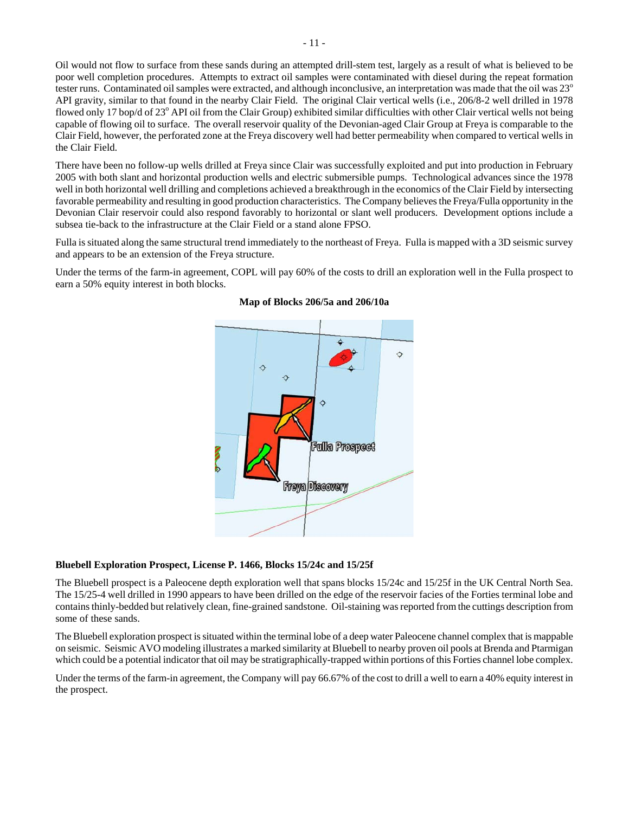Oil would not flow to surface from these sands during an attempted drill-stem test, largely as a result of what is believed to be poor well completion procedures. Attempts to extract oil samples were contaminated with diesel during the repeat formation tester runs. Contaminated oil samples were extracted, and although inconclusive, an interpretation was made that the oil was 23<sup>o</sup> API gravity, similar to that found in the nearby Clair Field. The original Clair vertical wells (i.e., 206/8-2 well drilled in 1978 flowed only 17 bop/d of 23° API oil from the Clair Group) exhibited similar difficulties with other Clair vertical wells not being capable of flowing oil to surface. The overall reservoir quality of the Devonian-aged Clair Group at Freya is comparable to the Clair Field, however, the perforated zone at the Freya discovery well had better permeability when compared to vertical wells in the Clair Field.

There have been no follow-up wells drilled at Freya since Clair was successfully exploited and put into production in February 2005 with both slant and horizontal production wells and electric submersible pumps. Technological advances since the 1978 well in both horizontal well drilling and completions achieved a breakthrough in the economics of the Clair Field by intersecting favorable permeability and resulting in good production characteristics. The Company believes the Freya/Fulla opportunity in the Devonian Clair reservoir could also respond favorably to horizontal or slant well producers. Development options include a subsea tie-back to the infrastructure at the Clair Field or a stand alone FPSO.

Fulla is situated along the same structural trend immediately to the northeast of Freya. Fulla is mapped with a 3D seismic survey and appears to be an extension of the Freya structure.

Under the terms of the farm-in agreement, COPL will pay 60% of the costs to drill an exploration well in the Fulla prospect to earn a 50% equity interest in both blocks.



# **Map of Blocks 206/5a and 206/10a**

#### **Bluebell Exploration Prospect, License P. 1466, Blocks 15/24c and 15/25f**

The Bluebell prospect is a Paleocene depth exploration well that spans blocks 15/24c and 15/25f in the UK Central North Sea. The 15/25-4 well drilled in 1990 appears to have been drilled on the edge of the reservoir facies of the Forties terminal lobe and contains thinly-bedded but relatively clean, fine-grained sandstone. Oil-staining was reported from the cuttings description from some of these sands.

The Bluebell exploration prospect is situated within the terminal lobe of a deep water Paleocene channel complex that is mappable on seismic. Seismic AVO modeling illustrates a marked similarity at Bluebell to nearby proven oil pools at Brenda and Ptarmigan which could be a potential indicator that oil may be stratigraphically-trapped within portions of this Forties channel lobe complex.

Under the terms of the farm-in agreement, the Company will pay 66.67% of the cost to drill a well to earn a 40% equity interest in the prospect.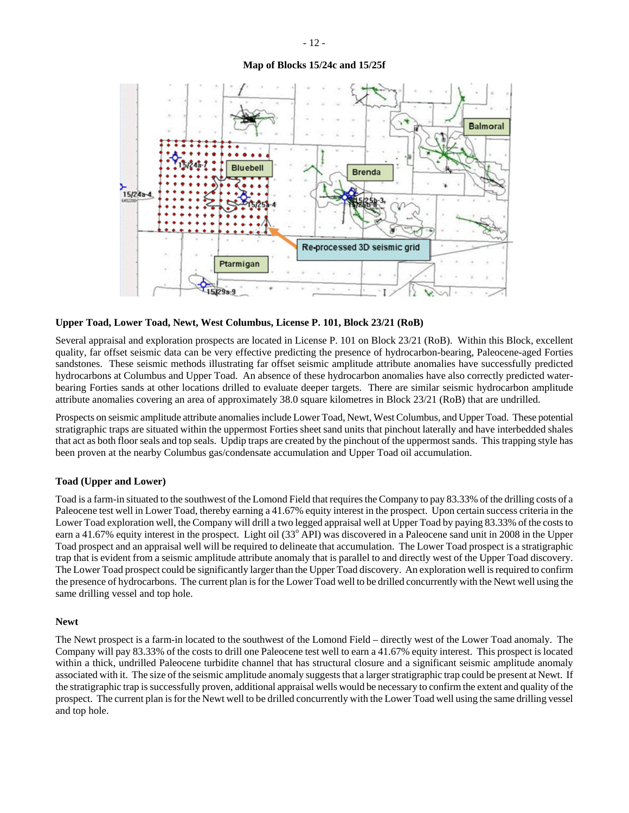# **Map of Blocks 15/24c and 15/25f**



#### **Upper Toad, Lower Toad, Newt, West Columbus, License P. 101, Block 23/21 (RoB)**

Several appraisal and exploration prospects are located in License P. 101 on Block 23/21 (RoB). Within this Block, excellent quality, far offset seismic data can be very effective predicting the presence of hydrocarbon-bearing, Paleocene-aged Forties sandstones. These seismic methods illustrating far offset seismic amplitude attribute anomalies have successfully predicted hydrocarbons at Columbus and Upper Toad. An absence of these hydrocarbon anomalies have also correctly predicted waterbearing Forties sands at other locations drilled to evaluate deeper targets. There are similar seismic hydrocarbon amplitude attribute anomalies covering an area of approximately 38.0 square kilometres in Block 23/21 (RoB) that are undrilled.

Prospects on seismic amplitude attribute anomalies include Lower Toad, Newt, West Columbus, and Upper Toad. These potential stratigraphic traps are situated within the uppermost Forties sheet sand units that pinchout laterally and have interbedded shales that act as both floor seals and top seals. Updip traps are created by the pinchout of the uppermost sands. This trapping style has been proven at the nearby Columbus gas/condensate accumulation and Upper Toad oil accumulation.

#### **Toad (Upper and Lower)**

Toad is a farm-in situated to the southwest of the Lomond Field that requires the Company to pay 83.33% of the drilling costs of a Paleocene test well in Lower Toad, thereby earning a 41.67% equity interest in the prospect. Upon certain success criteria in the Lower Toad exploration well, the Company will drill a two legged appraisal well at Upper Toad by paying 83.33% of the costs to earn a 41.67% equity interest in the prospect. Light oil (33<sup>°</sup> API) was discovered in a Paleocene sand unit in 2008 in the Upper Toad prospect and an appraisal well will be required to delineate that accumulation. The Lower Toad prospect is a stratigraphic trap that is evident from a seismic amplitude attribute anomaly that is parallel to and directly west of the Upper Toad discovery. The Lower Toad prospect could be significantly larger than the Upper Toad discovery. An exploration well is required to confirm the presence of hydrocarbons. The current plan is for the Lower Toad well to be drilled concurrently with the Newt well using the same drilling vessel and top hole.

#### **Newt**

The Newt prospect is a farm-in located to the southwest of the Lomond Field – directly west of the Lower Toad anomaly. The Company will pay 83.33% of the costs to drill one Paleocene test well to earn a 41.67% equity interest. This prospect is located within a thick, undrilled Paleocene turbidite channel that has structural closure and a significant seismic amplitude anomaly associated with it. The size of the seismic amplitude anomaly suggests that a larger stratigraphic trap could be present at Newt. If the stratigraphic trap is successfully proven, additional appraisal wells would be necessary to confirm the extent and quality of the prospect. The current plan is for the Newt well to be drilled concurrently with the Lower Toad well using the same drilling vessel and top hole.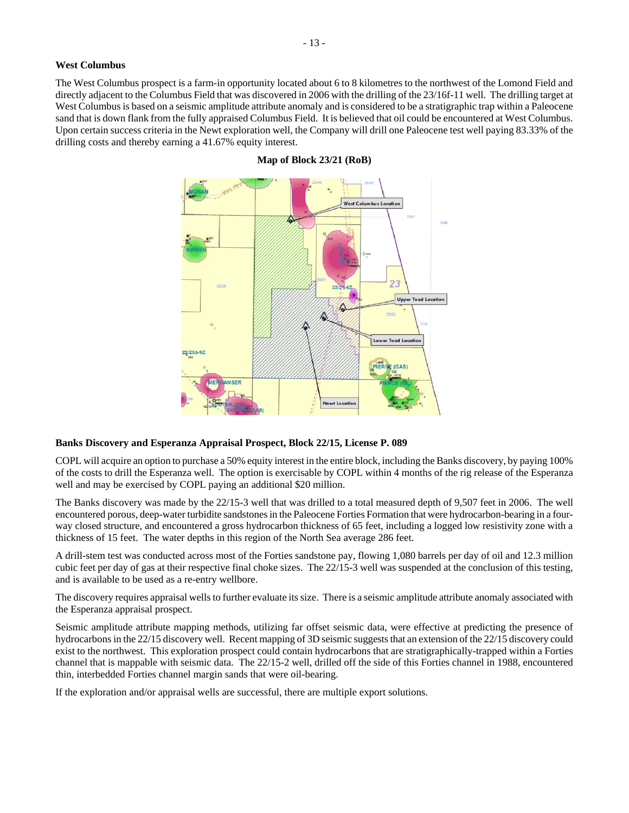#### **West Columbus**

The West Columbus prospect is a farm-in opportunity located about 6 to 8 kilometres to the northwest of the Lomond Field and directly adjacent to the Columbus Field that was discovered in 2006 with the drilling of the 23/16f-11 well. The drilling target at West Columbus is based on a seismic amplitude attribute anomaly and is considered to be a stratigraphic trap within a Paleocene sand that is down flank from the fully appraised Columbus Field. It is believed that oil could be encountered at West Columbus. Upon certain success criteria in the Newt exploration well, the Company will drill one Paleocene test well paying 83.33% of the drilling costs and thereby earning a 41.67% equity interest.



# **Map of Block 23/21 (RoB)**

#### **Banks Discovery and Esperanza Appraisal Prospect, Block 22/15, License P. 089**

COPL will acquire an option to purchase a 50% equity interest in the entire block, including the Banks discovery, by paying 100% of the costs to drill the Esperanza well. The option is exercisable by COPL within 4 months of the rig release of the Esperanza well and may be exercised by COPL paying an additional \$20 million.

The Banks discovery was made by the 22/15-3 well that was drilled to a total measured depth of 9,507 feet in 2006. The well encountered porous, deep-water turbidite sandstones in the Paleocene Forties Formation that were hydrocarbon-bearing in a fourway closed structure, and encountered a gross hydrocarbon thickness of 65 feet, including a logged low resistivity zone with a thickness of 15 feet. The water depths in this region of the North Sea average 286 feet.

A drill-stem test was conducted across most of the Forties sandstone pay, flowing 1,080 barrels per day of oil and 12.3 million cubic feet per day of gas at their respective final choke sizes. The 22/15-3 well was suspended at the conclusion of this testing, and is available to be used as a re-entry wellbore.

The discovery requires appraisal wells to further evaluate its size. There is a seismic amplitude attribute anomaly associated with the Esperanza appraisal prospect.

Seismic amplitude attribute mapping methods, utilizing far offset seismic data, were effective at predicting the presence of hydrocarbons in the 22/15 discovery well. Recent mapping of 3D seismic suggests that an extension of the 22/15 discovery could exist to the northwest. This exploration prospect could contain hydrocarbons that are stratigraphically-trapped within a Forties channel that is mappable with seismic data. The 22/15-2 well, drilled off the side of this Forties channel in 1988, encountered thin, interbedded Forties channel margin sands that were oil-bearing.

If the exploration and/or appraisal wells are successful, there are multiple export solutions.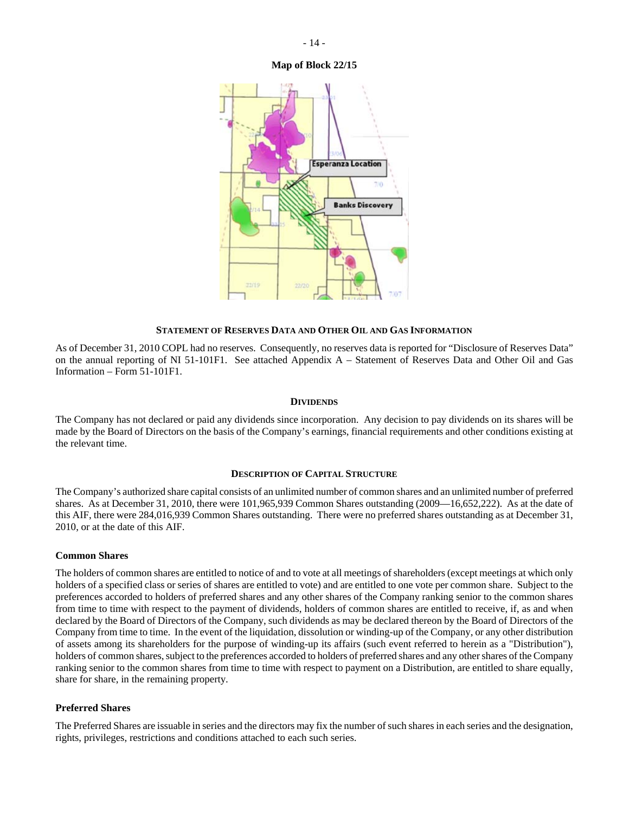#### **Map of Block 22/15**



#### **STATEMENT OF RESERVES DATA AND OTHER OIL AND GAS INFORMATION**

As of December 31, 2010 COPL had no reserves. Consequently, no reserves data is reported for "Disclosure of Reserves Data" on the annual reporting of NI 51-101F1. See attached Appendix A – Statement of Reserves Data and Other Oil and Gas Information – Form 51-101F1.

#### **DIVIDENDS**

The Company has not declared or paid any dividends since incorporation. Any decision to pay dividends on its shares will be made by the Board of Directors on the basis of the Company's earnings, financial requirements and other conditions existing at the relevant time.

#### **DESCRIPTION OF CAPITAL STRUCTURE**

The Company's authorized share capital consists of an unlimited number of common shares and an unlimited number of preferred shares. As at December 31, 2010, there were 101,965,939 Common Shares outstanding (2009—16,652,222). As at the date of this AIF, there were 284,016,939 Common Shares outstanding. There were no preferred shares outstanding as at December 31, 2010, or at the date of this AIF.

#### **Common Shares**

The holders of common shares are entitled to notice of and to vote at all meetings of shareholders (except meetings at which only holders of a specified class or series of shares are entitled to vote) and are entitled to one vote per common share. Subject to the preferences accorded to holders of preferred shares and any other shares of the Company ranking senior to the common shares from time to time with respect to the payment of dividends, holders of common shares are entitled to receive, if, as and when declared by the Board of Directors of the Company, such dividends as may be declared thereon by the Board of Directors of the Company from time to time. In the event of the liquidation, dissolution or winding-up of the Company, or any other distribution of assets among its shareholders for the purpose of winding-up its affairs (such event referred to herein as a "Distribution"), holders of common shares, subject to the preferences accorded to holders of preferred shares and any other shares of the Company ranking senior to the common shares from time to time with respect to payment on a Distribution, are entitled to share equally, share for share, in the remaining property.

#### **Preferred Shares**

The Preferred Shares are issuable in series and the directors may fix the number of such shares in each series and the designation, rights, privileges, restrictions and conditions attached to each such series.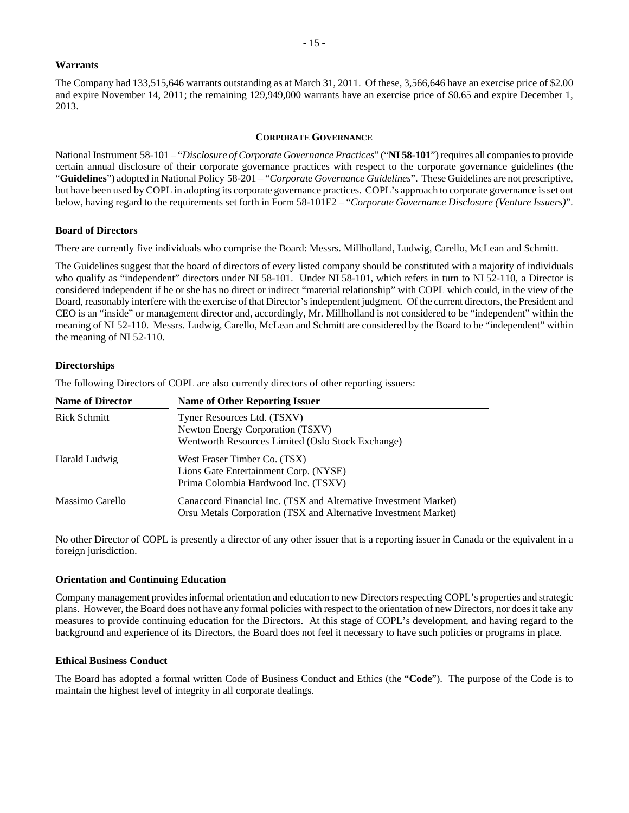#### **Warrants**

The Company had 133,515,646 warrants outstanding as at March 31, 2011. Of these, 3,566,646 have an exercise price of \$2.00 and expire November 14, 2011; the remaining 129,949,000 warrants have an exercise price of \$0.65 and expire December 1, 2013.

#### **CORPORATE GOVERNANCE**

National Instrument 58-101 – "*Disclosure of Corporate Governance Practices*" ("**NI 58-101**") requires all companies to provide certain annual disclosure of their corporate governance practices with respect to the corporate governance guidelines (the "**Guidelines**") adopted in National Policy 58-201 – "*Corporate Governance Guidelines*". These Guidelines are not prescriptive, but have been used by COPL in adopting its corporate governance practices. COPL's approach to corporate governance is set out below, having regard to the requirements set forth in Form 58-101F2 – "*Corporate Governance Disclosure (Venture Issuers)*".

#### **Board of Directors**

There are currently five individuals who comprise the Board: Messrs. Millholland, Ludwig, Carello, McLean and Schmitt.

The Guidelines suggest that the board of directors of every listed company should be constituted with a majority of individuals who qualify as "independent" directors under NI 58-101. Under NI 58-101, which refers in turn to NI 52-110, a Director is considered independent if he or she has no direct or indirect "material relationship" with COPL which could, in the view of the Board, reasonably interfere with the exercise of that Director's independent judgment. Of the current directors, the President and CEO is an "inside" or management director and, accordingly, Mr. Millholland is not considered to be "independent" within the meaning of NI 52-110. Messrs. Ludwig, Carello, McLean and Schmitt are considered by the Board to be "independent" within the meaning of NI 52-110.

#### **Directorships**

The following Directors of COPL are also currently directors of other reporting issuers:

| <b>Name of Director</b> | <b>Name of Other Reporting Issuer</b>                                                                                               |
|-------------------------|-------------------------------------------------------------------------------------------------------------------------------------|
| Rick Schmitt            | Tyner Resources Ltd. (TSXV)                                                                                                         |
|                         | Newton Energy Corporation (TSXV)                                                                                                    |
|                         | Wentworth Resources Limited (Oslo Stock Exchange)                                                                                   |
| Harald Ludwig           | West Fraser Timber Co. (TSX)                                                                                                        |
|                         | Lions Gate Entertainment Corp. (NYSE)                                                                                               |
|                         | Prima Colombia Hardwood Inc. (TSXV)                                                                                                 |
| Massimo Carello         | Canaccord Financial Inc. (TSX and Alternative Investment Market)<br>Orsu Metals Corporation (TSX and Alternative Investment Market) |

No other Director of COPL is presently a director of any other issuer that is a reporting issuer in Canada or the equivalent in a foreign jurisdiction.

#### **Orientation and Continuing Education**

Company management provides informal orientation and education to new Directors respecting COPL's properties and strategic plans. However, the Board does not have any formal policies with respect to the orientation of new Directors, nor does it take any measures to provide continuing education for the Directors. At this stage of COPL's development, and having regard to the background and experience of its Directors, the Board does not feel it necessary to have such policies or programs in place.

#### **Ethical Business Conduct**

The Board has adopted a formal written Code of Business Conduct and Ethics (the "**Code**"). The purpose of the Code is to maintain the highest level of integrity in all corporate dealings.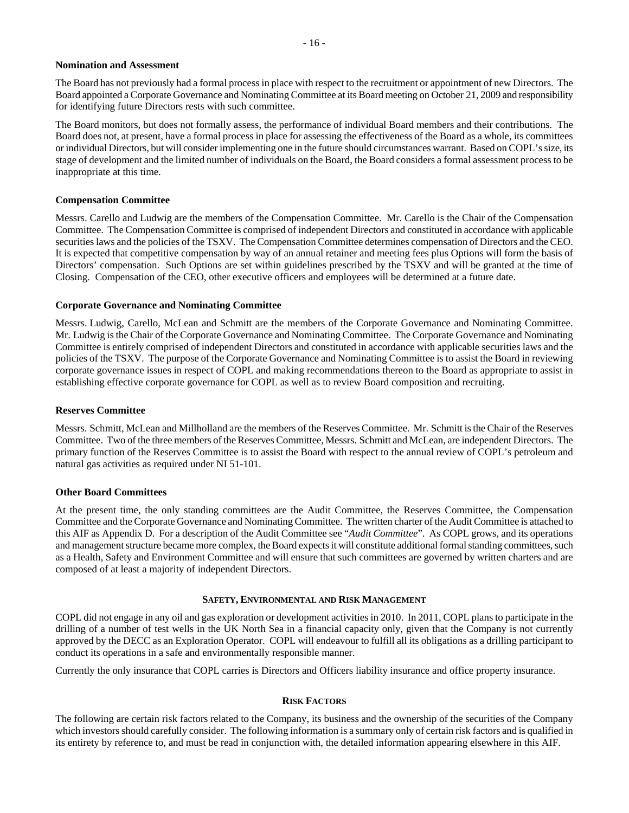#### **Nomination and Assessment**

The Board has not previously had a formal process in place with respect to the recruitment or appointment of new Directors. The Board appointed a Corporate Governance and Nominating Committee at its Board meeting on October 21, 2009 and responsibility for identifying future Directors rests with such committee.

The Board monitors, but does not formally assess, the performance of individual Board members and their contributions. The Board does not, at present, have a formal process in place for assessing the effectiveness of the Board as a whole, its committees or individual Directors, but will consider implementing one in the future should circumstances warrant. Based on COPL's size, its stage of development and the limited number of individuals on the Board, the Board considers a formal assessment process to be inappropriate at this time.

#### **Compensation Committee**

Messrs. Carello and Ludwig are the members of the Compensation Committee. Mr. Carello is the Chair of the Compensation Committee. The Compensation Committee is comprised of independent Directors and constituted in accordance with applicable securities laws and the policies of the TSXV. The Compensation Committee determines compensation of Directors and the CEO. It is expected that competitive compensation by way of an annual retainer and meeting fees plus Options will form the basis of Directors' compensation. Such Options are set within guidelines prescribed by the TSXV and will be granted at the time of Closing. Compensation of the CEO, other executive officers and employees will be determined at a future date.

#### **Corporate Governance and Nominating Committee**

Messrs. Ludwig, Carello, McLean and Schmitt are the members of the Corporate Governance and Nominating Committee. Mr. Ludwig is the Chair of the Corporate Governance and Nominating Committee. The Corporate Governance and Nominating Committee is entirely comprised of independent Directors and constituted in accordance with applicable securities laws and the policies of the TSXV. The purpose of the Corporate Governance and Nominating Committee is to assist the Board in reviewing corporate governance issues in respect of COPL and making recommendations thereon to the Board as appropriate to assist in establishing effective corporate governance for COPL as well as to review Board composition and recruiting.

#### **Reserves Committee**

Messrs. Schmitt, McLean and Millholland are the members of the Reserves Committee. Mr. Schmitt is the Chair of the Reserves Committee. Two of the three members of the Reserves Committee, Messrs. Schmitt and McLean, are independent Directors. The primary function of the Reserves Committee is to assist the Board with respect to the annual review of COPL's petroleum and natural gas activities as required under NI 51-101.

#### **Other Board Committees**

At the present time, the only standing committees are the Audit Committee, the Reserves Committee, the Compensation Committee and the Corporate Governance and Nominating Committee. The written charter of the Audit Committee is attached to this AIF as Appendix D. For a description of the Audit Committee see "*Audit Committee*". As COPL grows, and its operations and management structure became more complex, the Board expects it will constitute additional formal standing committees, such as a Health, Safety and Environment Committee and will ensure that such committees are governed by written charters and are composed of at least a majority of independent Directors.

#### **SAFETY, ENVIRONMENTAL AND RISK MANAGEMENT**

COPL did not engage in any oil and gas exploration or development activities in 2010. In 2011, COPL plans to participate in the drilling of a number of test wells in the UK North Sea in a financial capacity only, given that the Company is not currently approved by the DECC as an Exploration Operator. COPL will endeavour to fulfill all its obligations as a drilling participant to conduct its operations in a safe and environmentally responsible manner.

Currently the only insurance that COPL carries is Directors and Officers liability insurance and office property insurance.

#### **RISK FACTORS**

The following are certain risk factors related to the Company, its business and the ownership of the securities of the Company which investors should carefully consider. The following information is a summary only of certain risk factors and is qualified in its entirety by reference to, and must be read in conjunction with, the detailed information appearing elsewhere in this AIF.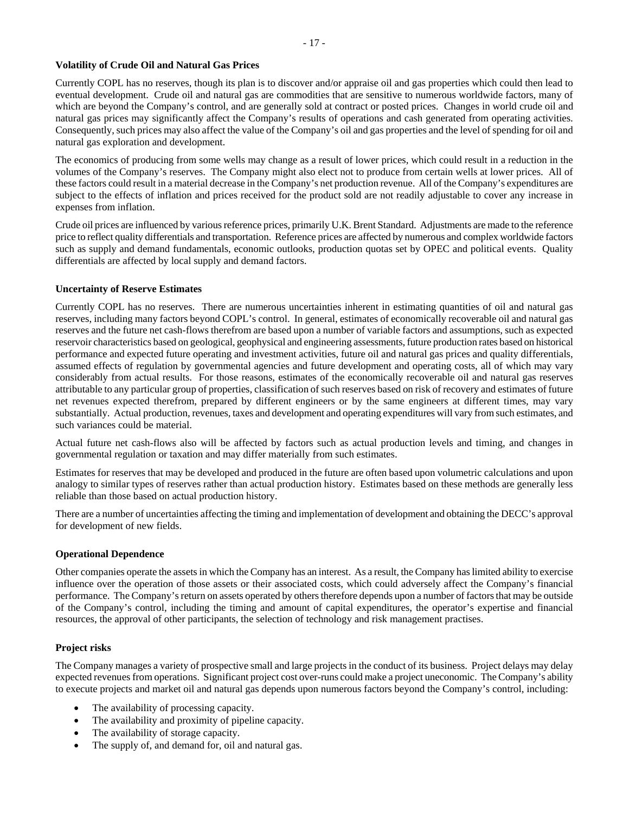# **Volatility of Crude Oil and Natural Gas Prices**

Currently COPL has no reserves, though its plan is to discover and/or appraise oil and gas properties which could then lead to eventual development. Crude oil and natural gas are commodities that are sensitive to numerous worldwide factors, many of which are beyond the Company's control, and are generally sold at contract or posted prices. Changes in world crude oil and natural gas prices may significantly affect the Company's results of operations and cash generated from operating activities. Consequently, such prices may also affect the value of the Company's oil and gas properties and the level of spending for oil and natural gas exploration and development.

The economics of producing from some wells may change as a result of lower prices, which could result in a reduction in the volumes of the Company's reserves. The Company might also elect not to produce from certain wells at lower prices. All of these factors could result in a material decrease in the Company's net production revenue. All of the Company's expenditures are subject to the effects of inflation and prices received for the product sold are not readily adjustable to cover any increase in expenses from inflation.

Crude oil prices are influenced by various reference prices, primarily U.K. Brent Standard. Adjustments are made to the reference price to reflect quality differentials and transportation. Reference prices are affected by numerous and complex worldwide factors such as supply and demand fundamentals, economic outlooks, production quotas set by OPEC and political events. Quality differentials are affected by local supply and demand factors.

#### **Uncertainty of Reserve Estimates**

Currently COPL has no reserves. There are numerous uncertainties inherent in estimating quantities of oil and natural gas reserves, including many factors beyond COPL's control. In general, estimates of economically recoverable oil and natural gas reserves and the future net cash-flows therefrom are based upon a number of variable factors and assumptions, such as expected reservoir characteristics based on geological, geophysical and engineering assessments, future production rates based on historical performance and expected future operating and investment activities, future oil and natural gas prices and quality differentials, assumed effects of regulation by governmental agencies and future development and operating costs, all of which may vary considerably from actual results. For those reasons, estimates of the economically recoverable oil and natural gas reserves attributable to any particular group of properties, classification of such reserves based on risk of recovery and estimates of future net revenues expected therefrom, prepared by different engineers or by the same engineers at different times, may vary substantially. Actual production, revenues, taxes and development and operating expenditures will vary from such estimates, and such variances could be material.

Actual future net cash-flows also will be affected by factors such as actual production levels and timing, and changes in governmental regulation or taxation and may differ materially from such estimates.

Estimates for reserves that may be developed and produced in the future are often based upon volumetric calculations and upon analogy to similar types of reserves rather than actual production history. Estimates based on these methods are generally less reliable than those based on actual production history.

There are a number of uncertainties affecting the timing and implementation of development and obtaining the DECC's approval for development of new fields.

# **Operational Dependence**

Other companies operate the assets in which the Company has an interest. As a result, the Company has limited ability to exercise influence over the operation of those assets or their associated costs, which could adversely affect the Company's financial performance. The Company's return on assets operated by others therefore depends upon a number of factors that may be outside of the Company's control, including the timing and amount of capital expenditures, the operator's expertise and financial resources, the approval of other participants, the selection of technology and risk management practises.

# **Project risks**

The Company manages a variety of prospective small and large projects in the conduct of its business. Project delays may delay expected revenues from operations. Significant project cost over-runs could make a project uneconomic. The Company's ability to execute projects and market oil and natural gas depends upon numerous factors beyond the Company's control, including:

- The availability of processing capacity.
- The availability and proximity of pipeline capacity.
- The availability of storage capacity.
- The supply of, and demand for, oil and natural gas.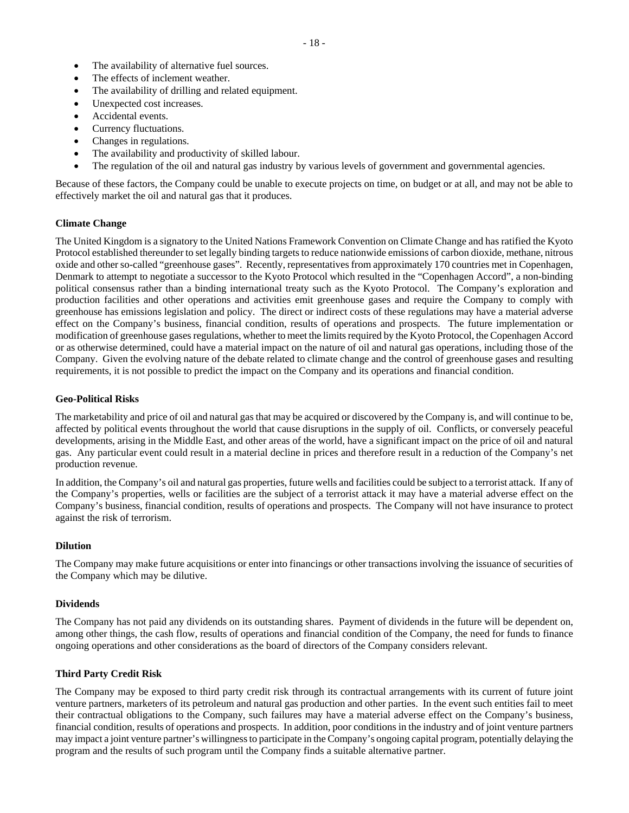- The availability of alternative fuel sources.
- The effects of inclement weather.
- The availability of drilling and related equipment.
- Unexpected cost increases.
- Accidental events.
- Currency fluctuations.
- Changes in regulations.
- The availability and productivity of skilled labour.
- The regulation of the oil and natural gas industry by various levels of government and governmental agencies.

Because of these factors, the Company could be unable to execute projects on time, on budget or at all, and may not be able to effectively market the oil and natural gas that it produces.

#### **Climate Change**

The United Kingdom is a signatory to the United Nations Framework Convention on Climate Change and has ratified the Kyoto Protocol established thereunder to set legally binding targets to reduce nationwide emissions of carbon dioxide, methane, nitrous oxide and other so-called "greenhouse gases". Recently, representatives from approximately 170 countries met in Copenhagen, Denmark to attempt to negotiate a successor to the Kyoto Protocol which resulted in the "Copenhagen Accord", a non-binding political consensus rather than a binding international treaty such as the Kyoto Protocol. The Company's exploration and production facilities and other operations and activities emit greenhouse gases and require the Company to comply with greenhouse has emissions legislation and policy. The direct or indirect costs of these regulations may have a material adverse effect on the Company's business, financial condition, results of operations and prospects. The future implementation or modification of greenhouse gases regulations, whether to meet the limits required by the Kyoto Protocol, the Copenhagen Accord or as otherwise determined, could have a material impact on the nature of oil and natural gas operations, including those of the Company. Given the evolving nature of the debate related to climate change and the control of greenhouse gases and resulting requirements, it is not possible to predict the impact on the Company and its operations and financial condition.

#### **Geo-Political Risks**

The marketability and price of oil and natural gas that may be acquired or discovered by the Company is, and will continue to be, affected by political events throughout the world that cause disruptions in the supply of oil. Conflicts, or conversely peaceful developments, arising in the Middle East, and other areas of the world, have a significant impact on the price of oil and natural gas. Any particular event could result in a material decline in prices and therefore result in a reduction of the Company's net production revenue.

In addition, the Company's oil and natural gas properties, future wells and facilities could be subject to a terrorist attack. If any of the Company's properties, wells or facilities are the subject of a terrorist attack it may have a material adverse effect on the Company's business, financial condition, results of operations and prospects. The Company will not have insurance to protect against the risk of terrorism.

#### **Dilution**

The Company may make future acquisitions or enter into financings or other transactions involving the issuance of securities of the Company which may be dilutive.

#### **Dividends**

The Company has not paid any dividends on its outstanding shares. Payment of dividends in the future will be dependent on, among other things, the cash flow, results of operations and financial condition of the Company, the need for funds to finance ongoing operations and other considerations as the board of directors of the Company considers relevant.

#### **Third Party Credit Risk**

The Company may be exposed to third party credit risk through its contractual arrangements with its current of future joint venture partners, marketers of its petroleum and natural gas production and other parties. In the event such entities fail to meet their contractual obligations to the Company, such failures may have a material adverse effect on the Company's business, financial condition, results of operations and prospects. In addition, poor conditions in the industry and of joint venture partners may impact a joint venture partner's willingness to participate in the Company's ongoing capital program, potentially delaying the program and the results of such program until the Company finds a suitable alternative partner.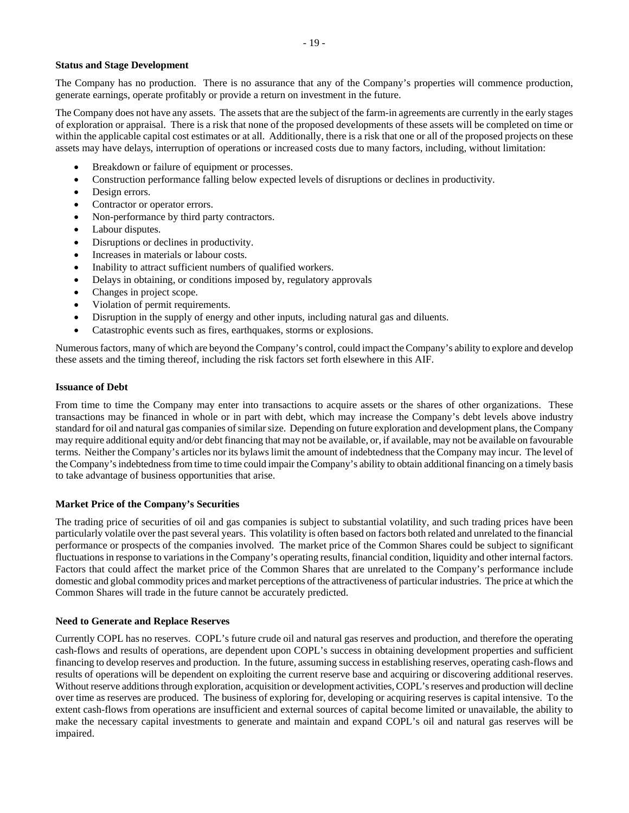# **Status and Stage Development**

The Company has no production. There is no assurance that any of the Company's properties will commence production, generate earnings, operate profitably or provide a return on investment in the future.

The Company does not have any assets. The assets that are the subject of the farm-in agreements are currently in the early stages of exploration or appraisal. There is a risk that none of the proposed developments of these assets will be completed on time or within the applicable capital cost estimates or at all. Additionally, there is a risk that one or all of the proposed projects on these assets may have delays, interruption of operations or increased costs due to many factors, including, without limitation:

- Breakdown or failure of equipment or processes.
- Construction performance falling below expected levels of disruptions or declines in productivity.
- Design errors.
- Contractor or operator errors.
- Non-performance by third party contractors.
- Labour disputes.
- Disruptions or declines in productivity.
- Increases in materials or labour costs.
- Inability to attract sufficient numbers of qualified workers.
- Delays in obtaining, or conditions imposed by, regulatory approvals
- Changes in project scope.
- Violation of permit requirements.
- Disruption in the supply of energy and other inputs, including natural gas and diluents.
- Catastrophic events such as fires, earthquakes, storms or explosions.

Numerous factors, many of which are beyond the Company's control, could impact the Company's ability to explore and develop these assets and the timing thereof, including the risk factors set forth elsewhere in this AIF.

#### **Issuance of Debt**

From time to time the Company may enter into transactions to acquire assets or the shares of other organizations. These transactions may be financed in whole or in part with debt, which may increase the Company's debt levels above industry standard for oil and natural gas companies of similar size. Depending on future exploration and development plans, the Company may require additional equity and/or debt financing that may not be available, or, if available, may not be available on favourable terms. Neither the Company's articles nor its bylaws limit the amount of indebtedness that the Company may incur. The level of the Company's indebtedness from time to time could impair the Company's ability to obtain additional financing on a timely basis to take advantage of business opportunities that arise.

#### **Market Price of the Company's Securities**

The trading price of securities of oil and gas companies is subject to substantial volatility, and such trading prices have been particularly volatile over the past several years. This volatility is often based on factors both related and unrelated to the financial performance or prospects of the companies involved. The market price of the Common Shares could be subject to significant fluctuations in response to variations in the Company's operating results, financial condition, liquidity and other internal factors. Factors that could affect the market price of the Common Shares that are unrelated to the Company's performance include domestic and global commodity prices and market perceptions of the attractiveness of particular industries. The price at which the Common Shares will trade in the future cannot be accurately predicted.

#### **Need to Generate and Replace Reserves**

Currently COPL has no reserves. COPL's future crude oil and natural gas reserves and production, and therefore the operating cash-flows and results of operations, are dependent upon COPL's success in obtaining development properties and sufficient financing to develop reserves and production. In the future, assuming success in establishing reserves, operating cash-flows and results of operations will be dependent on exploiting the current reserve base and acquiring or discovering additional reserves. Without reserve additions through exploration, acquisition or development activities, COPL's reserves and production will decline over time as reserves are produced. The business of exploring for, developing or acquiring reserves is capital intensive. To the extent cash-flows from operations are insufficient and external sources of capital become limited or unavailable, the ability to make the necessary capital investments to generate and maintain and expand COPL's oil and natural gas reserves will be impaired.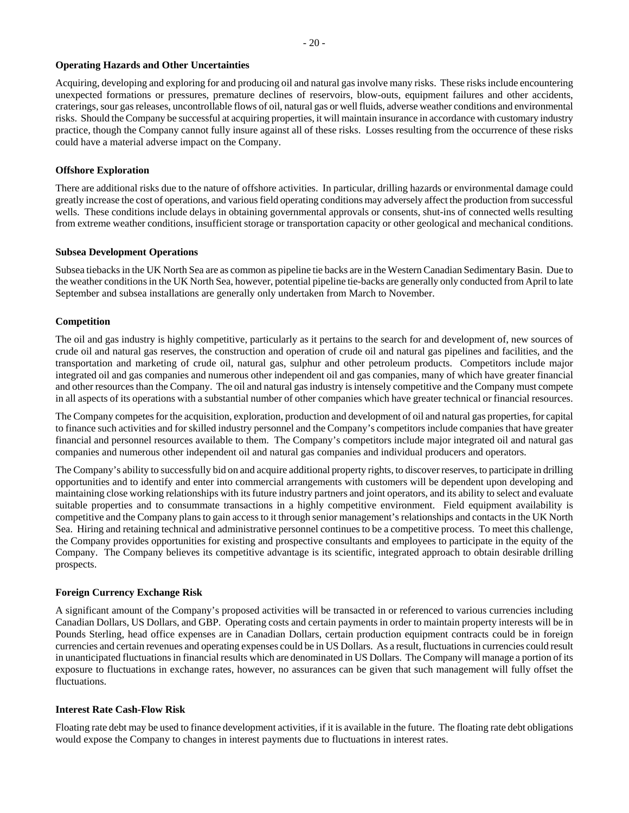#### **Operating Hazards and Other Uncertainties**

Acquiring, developing and exploring for and producing oil and natural gas involve many risks. These risks include encountering unexpected formations or pressures, premature declines of reservoirs, blow-outs, equipment failures and other accidents, craterings, sour gas releases, uncontrollable flows of oil, natural gas or well fluids, adverse weather conditions and environmental risks. Should the Company be successful at acquiring properties, it will maintain insurance in accordance with customary industry practice, though the Company cannot fully insure against all of these risks. Losses resulting from the occurrence of these risks could have a material adverse impact on the Company.

#### **Offshore Exploration**

There are additional risks due to the nature of offshore activities. In particular, drilling hazards or environmental damage could greatly increase the cost of operations, and various field operating conditions may adversely affect the production from successful wells. These conditions include delays in obtaining governmental approvals or consents, shut-ins of connected wells resulting from extreme weather conditions, insufficient storage or transportation capacity or other geological and mechanical conditions.

#### **Subsea Development Operations**

Subsea tiebacks in the UK North Sea are as common as pipeline tie backs are in the Western Canadian Sedimentary Basin. Due to the weather conditions in the UK North Sea, however, potential pipeline tie-backs are generally only conducted from April to late September and subsea installations are generally only undertaken from March to November.

# **Competition**

The oil and gas industry is highly competitive, particularly as it pertains to the search for and development of, new sources of crude oil and natural gas reserves, the construction and operation of crude oil and natural gas pipelines and facilities, and the transportation and marketing of crude oil, natural gas, sulphur and other petroleum products. Competitors include major integrated oil and gas companies and numerous other independent oil and gas companies, many of which have greater financial and other resources than the Company. The oil and natural gas industry is intensely competitive and the Company must compete in all aspects of its operations with a substantial number of other companies which have greater technical or financial resources.

The Company competes for the acquisition, exploration, production and development of oil and natural gas properties, for capital to finance such activities and for skilled industry personnel and the Company's competitors include companies that have greater financial and personnel resources available to them. The Company's competitors include major integrated oil and natural gas companies and numerous other independent oil and natural gas companies and individual producers and operators.

The Company's ability to successfully bid on and acquire additional property rights, to discover reserves, to participate in drilling opportunities and to identify and enter into commercial arrangements with customers will be dependent upon developing and maintaining close working relationships with its future industry partners and joint operators, and its ability to select and evaluate suitable properties and to consummate transactions in a highly competitive environment. Field equipment availability is competitive and the Company plans to gain access to it through senior management's relationships and contacts in the UK North Sea. Hiring and retaining technical and administrative personnel continues to be a competitive process. To meet this challenge, the Company provides opportunities for existing and prospective consultants and employees to participate in the equity of the Company. The Company believes its competitive advantage is its scientific, integrated approach to obtain desirable drilling prospects.

#### **Foreign Currency Exchange Risk**

A significant amount of the Company's proposed activities will be transacted in or referenced to various currencies including Canadian Dollars, US Dollars, and GBP. Operating costs and certain payments in order to maintain property interests will be in Pounds Sterling, head office expenses are in Canadian Dollars, certain production equipment contracts could be in foreign currencies and certain revenues and operating expenses could be in US Dollars. As a result, fluctuations in currencies could result in unanticipated fluctuations in financial results which are denominated in US Dollars. The Company will manage a portion of its exposure to fluctuations in exchange rates, however, no assurances can be given that such management will fully offset the fluctuations.

#### **Interest Rate Cash-Flow Risk**

Floating rate debt may be used to finance development activities, if it is available in the future. The floating rate debt obligations would expose the Company to changes in interest payments due to fluctuations in interest rates.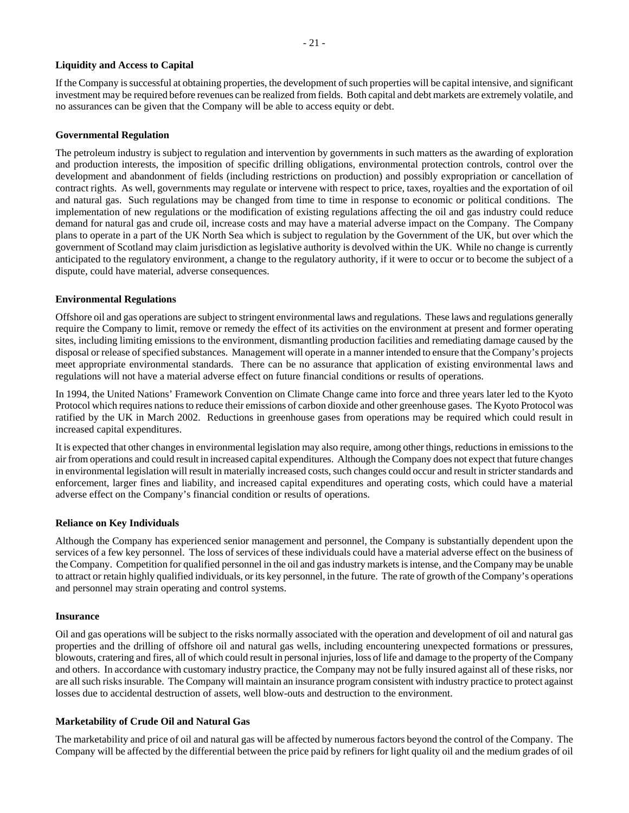#### **Liquidity and Access to Capital**

If the Company is successful at obtaining properties, the development of such properties will be capital intensive, and significant investment may be required before revenues can be realized from fields. Both capital and debt markets are extremely volatile, and no assurances can be given that the Company will be able to access equity or debt.

#### **Governmental Regulation**

The petroleum industry is subject to regulation and intervention by governments in such matters as the awarding of exploration and production interests, the imposition of specific drilling obligations, environmental protection controls, control over the development and abandonment of fields (including restrictions on production) and possibly expropriation or cancellation of contract rights. As well, governments may regulate or intervene with respect to price, taxes, royalties and the exportation of oil and natural gas. Such regulations may be changed from time to time in response to economic or political conditions. The implementation of new regulations or the modification of existing regulations affecting the oil and gas industry could reduce demand for natural gas and crude oil, increase costs and may have a material adverse impact on the Company. The Company plans to operate in a part of the UK North Sea which is subject to regulation by the Government of the UK, but over which the government of Scotland may claim jurisdiction as legislative authority is devolved within the UK. While no change is currently anticipated to the regulatory environment, a change to the regulatory authority, if it were to occur or to become the subject of a dispute, could have material, adverse consequences.

# **Environmental Regulations**

Offshore oil and gas operations are subject to stringent environmental laws and regulations. These laws and regulations generally require the Company to limit, remove or remedy the effect of its activities on the environment at present and former operating sites, including limiting emissions to the environment, dismantling production facilities and remediating damage caused by the disposal or release of specified substances. Management will operate in a manner intended to ensure that the Company's projects meet appropriate environmental standards. There can be no assurance that application of existing environmental laws and regulations will not have a material adverse effect on future financial conditions or results of operations.

In 1994, the United Nations' Framework Convention on Climate Change came into force and three years later led to the Kyoto Protocol which requires nations to reduce their emissions of carbon dioxide and other greenhouse gases. The Kyoto Protocol was ratified by the UK in March 2002. Reductions in greenhouse gases from operations may be required which could result in increased capital expenditures.

It is expected that other changes in environmental legislation may also require, among other things, reductions in emissions to the air from operations and could result in increased capital expenditures. Although the Company does not expect that future changes in environmental legislation will result in materially increased costs, such changes could occur and result in stricter standards and enforcement, larger fines and liability, and increased capital expenditures and operating costs, which could have a material adverse effect on the Company's financial condition or results of operations.

#### **Reliance on Key Individuals**

Although the Company has experienced senior management and personnel, the Company is substantially dependent upon the services of a few key personnel. The loss of services of these individuals could have a material adverse effect on the business of the Company. Competition for qualified personnel in the oil and gas industry markets is intense, and the Company may be unable to attract or retain highly qualified individuals, or its key personnel, in the future. The rate of growth of the Company's operations and personnel may strain operating and control systems.

#### **Insurance**

Oil and gas operations will be subject to the risks normally associated with the operation and development of oil and natural gas properties and the drilling of offshore oil and natural gas wells, including encountering unexpected formations or pressures, blowouts, cratering and fires, all of which could result in personal injuries, loss of life and damage to the property of the Company and others. In accordance with customary industry practice, the Company may not be fully insured against all of these risks, nor are all such risks insurable. The Company will maintain an insurance program consistent with industry practice to protect against losses due to accidental destruction of assets, well blow-outs and destruction to the environment.

# **Marketability of Crude Oil and Natural Gas**

The marketability and price of oil and natural gas will be affected by numerous factors beyond the control of the Company. The Company will be affected by the differential between the price paid by refiners for light quality oil and the medium grades of oil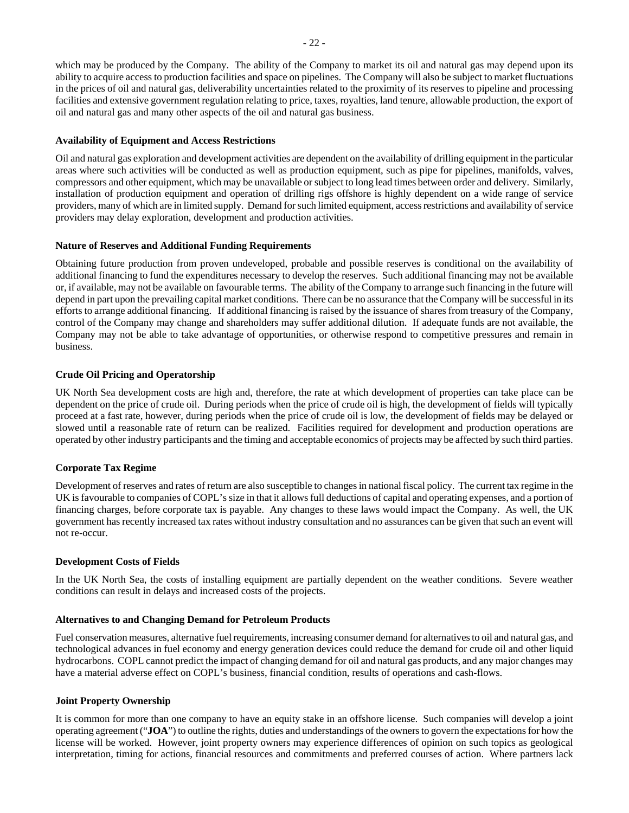which may be produced by the Company. The ability of the Company to market its oil and natural gas may depend upon its ability to acquire access to production facilities and space on pipelines. The Company will also be subject to market fluctuations in the prices of oil and natural gas, deliverability uncertainties related to the proximity of its reserves to pipeline and processing facilities and extensive government regulation relating to price, taxes, royalties, land tenure, allowable production, the export of oil and natural gas and many other aspects of the oil and natural gas business.

#### **Availability of Equipment and Access Restrictions**

Oil and natural gas exploration and development activities are dependent on the availability of drilling equipment in the particular areas where such activities will be conducted as well as production equipment, such as pipe for pipelines, manifolds, valves, compressors and other equipment, which may be unavailable or subject to long lead times between order and delivery. Similarly, installation of production equipment and operation of drilling rigs offshore is highly dependent on a wide range of service providers, many of which are in limited supply. Demand for such limited equipment, access restrictions and availability of service providers may delay exploration, development and production activities.

# **Nature of Reserves and Additional Funding Requirements**

Obtaining future production from proven undeveloped, probable and possible reserves is conditional on the availability of additional financing to fund the expenditures necessary to develop the reserves. Such additional financing may not be available or, if available, may not be available on favourable terms. The ability of the Company to arrange such financing in the future will depend in part upon the prevailing capital market conditions. There can be no assurance that the Company will be successful in its efforts to arrange additional financing. If additional financing is raised by the issuance of shares from treasury of the Company, control of the Company may change and shareholders may suffer additional dilution. If adequate funds are not available, the Company may not be able to take advantage of opportunities, or otherwise respond to competitive pressures and remain in business.

# **Crude Oil Pricing and Operatorship**

UK North Sea development costs are high and, therefore, the rate at which development of properties can take place can be dependent on the price of crude oil. During periods when the price of crude oil is high, the development of fields will typically proceed at a fast rate, however, during periods when the price of crude oil is low, the development of fields may be delayed or slowed until a reasonable rate of return can be realized. Facilities required for development and production operations are operated by other industry participants and the timing and acceptable economics of projects may be affected by such third parties.

#### **Corporate Tax Regime**

Development of reserves and rates of return are also susceptible to changes in national fiscal policy. The current tax regime in the UK is favourable to companies of COPL's size in that it allows full deductions of capital and operating expenses, and a portion of financing charges, before corporate tax is payable. Any changes to these laws would impact the Company. As well, the UK government has recently increased tax rates without industry consultation and no assurances can be given that such an event will not re-occur.

#### **Development Costs of Fields**

In the UK North Sea, the costs of installing equipment are partially dependent on the weather conditions. Severe weather conditions can result in delays and increased costs of the projects.

#### **Alternatives to and Changing Demand for Petroleum Products**

Fuel conservation measures, alternative fuel requirements, increasing consumer demand for alternatives to oil and natural gas, and technological advances in fuel economy and energy generation devices could reduce the demand for crude oil and other liquid hydrocarbons. COPL cannot predict the impact of changing demand for oil and natural gas products, and any major changes may have a material adverse effect on COPL's business, financial condition, results of operations and cash-flows.

#### **Joint Property Ownership**

It is common for more than one company to have an equity stake in an offshore license. Such companies will develop a joint operating agreement ("**JOA**") to outline the rights, duties and understandings of the owners to govern the expectations for how the license will be worked. However, joint property owners may experience differences of opinion on such topics as geological interpretation, timing for actions, financial resources and commitments and preferred courses of action. Where partners lack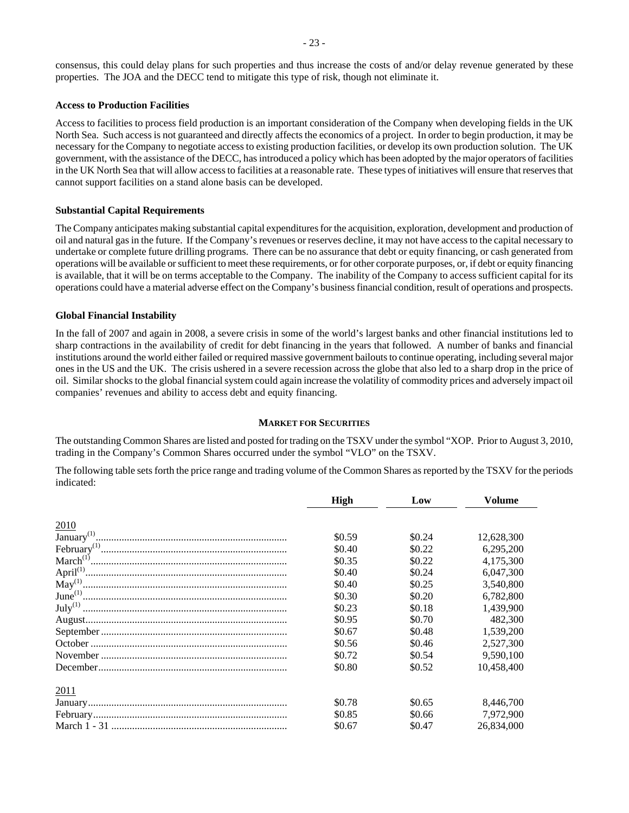#### **Access to Production Facilities**

Access to facilities to process field production is an important consideration of the Company when developing fields in the UK North Sea. Such access is not guaranteed and directly affects the economics of a project. In order to begin production, it may be necessary for the Company to negotiate access to existing production facilities, or develop its own production solution. The UK government, with the assistance of the DECC, has introduced a policy which has been adopted by the major operators of facilities in the UK North Sea that will allow access to facilities at a reasonable rate. These types of initiatives will ensure that reserves that cannot support facilities on a stand alone basis can be developed.

# **Substantial Capital Requirements**

The Company anticipates making substantial capital expenditures for the acquisition, exploration, development and production of oil and natural gas in the future. If the Company's revenues or reserves decline, it may not have access to the capital necessary to undertake or complete future drilling programs. There can be no assurance that debt or equity financing, or cash generated from operations will be available or sufficient to meet these requirements, or for other corporate purposes, or, if debt or equity financing is available, that it will be on terms acceptable to the Company. The inability of the Company to access sufficient capital for its operations could have a material adverse effect on the Company's business financial condition, result of operations and prospects.

# **Global Financial Instability**

In the fall of 2007 and again in 2008, a severe crisis in some of the world's largest banks and other financial institutions led to sharp contractions in the availability of credit for debt financing in the years that followed. A number of banks and financial institutions around the world either failed or required massive government bailouts to continue operating, including several major ones in the US and the UK. The crisis ushered in a severe recession across the globe that also led to a sharp drop in the price of oil. Similar shocks to the global financial system could again increase the volatility of commodity prices and adversely impact oil companies' revenues and ability to access debt and equity financing.

# **MARKET FOR SECURITIES**

The outstanding Common Shares are listed and posted for trading on the TSXV under the symbol "XOP. Prior to August 3, 2010, trading in the Company's Common Shares occurred under the symbol "VLO" on the TSXV.

The following table sets forth the price range and trading volume of the Common Shares as reported by the TSXV for the periods indicated:

|      | High   | Low      | <b>Volume</b> |
|------|--------|----------|---------------|
| 2010 |        |          |               |
|      | \$0.59 | \$0.24   | 12,628,300    |
|      | \$0.40 | \$0.22\$ | 6.295.200     |
|      | \$0.35 | \$0.22   | 4,175,300     |
|      | \$0.40 | \$0.24   | 6.047.300     |
|      | \$0.40 | \$0.25   | 3,540,800     |
|      | \$0.30 | \$0.20   | 6,782,800     |
|      | \$0.23 | \$0.18   | 1.439.900     |
|      | \$0.95 | \$0.70   | 482,300       |
|      | \$0.67 | \$0.48   | 1.539.200     |
|      | \$0.56 | \$0.46   | 2.527.300     |
|      | \$0.72 | \$0.54   | 9,590,100     |
|      | \$0.80 | \$0.52   | 10.458.400    |
| 2011 |        |          |               |
|      | \$0.78 | \$0.65   | 8.446.700     |
|      | \$0.85 | \$0.66   | 7,972,900     |
|      | \$0.67 | \$0.47   | 26,834,000    |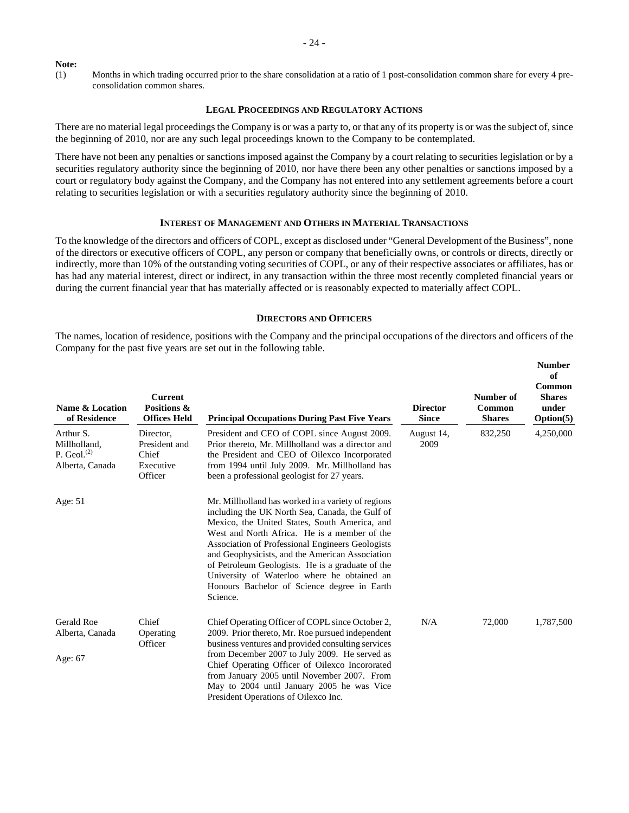#### **Note:**

(1) Months in which trading occurred prior to the share consolidation at a ratio of 1 post-consolidation common share for every 4 preconsolidation common shares.

#### **LEGAL PROCEEDINGS AND REGULATORY ACTIONS**

There are no material legal proceedings the Company is or was a party to, or that any of its property is or was the subject of, since the beginning of 2010, nor are any such legal proceedings known to the Company to be contemplated.

There have not been any penalties or sanctions imposed against the Company by a court relating to securities legislation or by a securities regulatory authority since the beginning of 2010, nor have there been any other penalties or sanctions imposed by a court or regulatory body against the Company, and the Company has not entered into any settlement agreements before a court relating to securities legislation or with a securities regulatory authority since the beginning of 2010.

# **INTEREST OF MANAGEMENT AND OTHERS IN MATERIAL TRANSACTIONS**

To the knowledge of the directors and officers of COPL, except as disclosed under "General Development of the Business", none of the directors or executive officers of COPL, any person or company that beneficially owns, or controls or directs, directly or indirectly, more than 10% of the outstanding voting securities of COPL, or any of their respective associates or affiliates, has or has had any material interest, direct or indirect, in any transaction within the three most recently completed financial years or during the current financial year that has materially affected or is reasonably expected to materially affect COPL.

#### **DIRECTORS AND OFFICERS**

The names, location of residence, positions with the Company and the principal occupations of the directors and officers of the Company for the past five years are set out in the following table.

| Name & Location<br>of Residence                                   | <b>Current</b><br>Positions &<br><b>Offices Held</b>        | <b>Principal Occupations During Past Five Years</b>                                                                                                                                                                                                                                                                                                                                                                                                                         | <b>Director</b><br><b>Since</b> | Number of<br>Common<br><b>Shares</b> | <b>Number</b><br>of<br>Common<br><b>Shares</b><br>under<br>Option(5) |
|-------------------------------------------------------------------|-------------------------------------------------------------|-----------------------------------------------------------------------------------------------------------------------------------------------------------------------------------------------------------------------------------------------------------------------------------------------------------------------------------------------------------------------------------------------------------------------------------------------------------------------------|---------------------------------|--------------------------------------|----------------------------------------------------------------------|
| Arthur S.<br>Millholland,<br>P. Geol. $^{(2)}$<br>Alberta, Canada | Director,<br>President and<br>Chief<br>Executive<br>Officer | President and CEO of COPL since August 2009.<br>Prior thereto, Mr. Millholland was a director and<br>the President and CEO of Oilexco Incorporated<br>from 1994 until July 2009. Mr. Millholland has<br>been a professional geologist for 27 years.                                                                                                                                                                                                                         | August 14,<br>2009              | 832,250                              | 4,250,000                                                            |
| Age: 51                                                           |                                                             | Mr. Millholland has worked in a variety of regions<br>including the UK North Sea, Canada, the Gulf of<br>Mexico, the United States, South America, and<br>West and North Africa. He is a member of the<br>Association of Professional Engineers Geologists<br>and Geophysicists, and the American Association<br>of Petroleum Geologists. He is a graduate of the<br>University of Waterloo where he obtained an<br>Honours Bachelor of Science degree in Earth<br>Science. |                                 |                                      |                                                                      |
| <b>Gerald Roe</b><br>Alberta, Canada<br>Age: 67                   | Chief<br>Operating<br>Officer                               | Chief Operating Officer of COPL since October 2,<br>2009. Prior thereto, Mr. Roe pursued independent<br>business ventures and provided consulting services<br>from December 2007 to July 2009. He served as<br>Chief Operating Officer of Oilexco Incororated<br>from January 2005 until November 2007. From<br>May to 2004 until January 2005 he was Vice<br>President Operations of Oilexco Inc.                                                                          | N/A                             | 72,000                               | 1,787,500                                                            |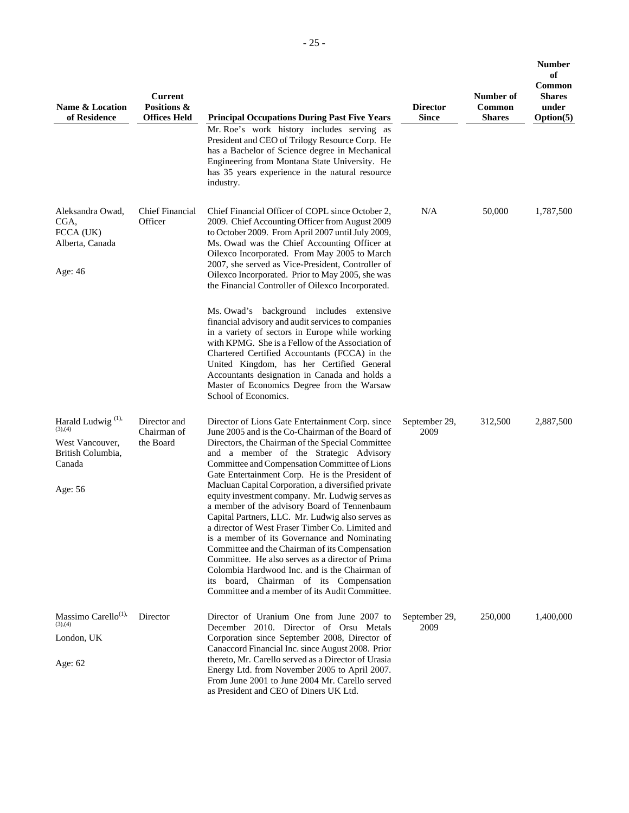| Name & Location<br>of Residence                                                                       | <b>Current</b><br>Positions &<br><b>Offices Held</b> | <b>Principal Occupations During Past Five Years</b><br>Mr. Roe's work history includes serving as<br>President and CEO of Trilogy Resource Corp. He<br>has a Bachelor of Science degree in Mechanical<br>Engineering from Montana State University. He<br>has 35 years experience in the natural resource<br>industry.                                                                                                                                                                                                                                                                                                                                                                                                                                                                                                                                                      | <b>Director</b><br><b>Since</b> | Number of<br>Common<br><b>Shares</b> | Number<br>of<br>Common<br><b>Shares</b><br>under<br>Option(5) |
|-------------------------------------------------------------------------------------------------------|------------------------------------------------------|-----------------------------------------------------------------------------------------------------------------------------------------------------------------------------------------------------------------------------------------------------------------------------------------------------------------------------------------------------------------------------------------------------------------------------------------------------------------------------------------------------------------------------------------------------------------------------------------------------------------------------------------------------------------------------------------------------------------------------------------------------------------------------------------------------------------------------------------------------------------------------|---------------------------------|--------------------------------------|---------------------------------------------------------------|
| Aleksandra Owad,<br>CGA,<br>FCCA (UK)<br>Alberta, Canada<br>Age: 46                                   | <b>Chief Financial</b><br>Officer                    | Chief Financial Officer of COPL since October 2,<br>2009. Chief Accounting Officer from August 2009<br>to October 2009. From April 2007 until July 2009,<br>Ms. Owad was the Chief Accounting Officer at<br>Oilexco Incorporated. From May 2005 to March<br>2007, she served as Vice-President, Controller of<br>Oilexco Incorporated. Prior to May 2005, she was<br>the Financial Controller of Oilexco Incorporated.<br>Ms. Owad's background includes extensive<br>financial advisory and audit services to companies<br>in a variety of sectors in Europe while working<br>with KPMG. She is a Fellow of the Association of<br>Chartered Certified Accountants (FCCA) in the<br>United Kingdom, has her Certified General<br>Accountants designation in Canada and holds a<br>Master of Economics Degree from the Warsaw<br>School of Economics.                        | N/A                             | 50,000                               | 1,787,500                                                     |
| Harald Ludwig <sup>(1),</sup><br>(3),(4)<br>West Vancouver,<br>British Columbia,<br>Canada<br>Age: 56 | Director and<br>Chairman of<br>the Board             | Director of Lions Gate Entertainment Corp. since<br>June 2005 and is the Co-Chairman of the Board of<br>Directors, the Chairman of the Special Committee<br>and a member of the Strategic Advisory<br>Committee and Compensation Committee of Lions<br>Gate Entertainment Corp. He is the President of<br>Macluan Capital Corporation, a diversified private<br>equity investment company. Mr. Ludwig serves as<br>a member of the advisory Board of Tennenbaum<br>Capital Partners, LLC. Mr. Ludwig also serves as<br>a director of West Fraser Timber Co. Limited and<br>is a member of its Governance and Nominating<br>Committee and the Chairman of its Compensation<br>Committee. He also serves as a director of Prima<br>Colombia Hardwood Inc. and is the Chairman of<br>its board, Chairman of its Compensation<br>Committee and a member of its Audit Committee. | September 29,<br>2009           | 312,500                              | 2,887,500                                                     |
| Massimo Carello <sup>(1),</sup><br>(3),(4)<br>London, UK<br>Age: 62                                   | Director                                             | Director of Uranium One from June 2007 to<br>December 2010. Director of Orsu Metals<br>Corporation since September 2008, Director of<br>Canaccord Financial Inc. since August 2008. Prior<br>thereto, Mr. Carello served as a Director of Urasia<br>Energy Ltd. from November 2005 to April 2007.<br>From June 2001 to June 2004 Mr. Carello served<br>as President and CEO of Diners UK Ltd.                                                                                                                                                                                                                                                                                                                                                                                                                                                                               | September 29,<br>2009           | 250,000                              | 1,400,000                                                     |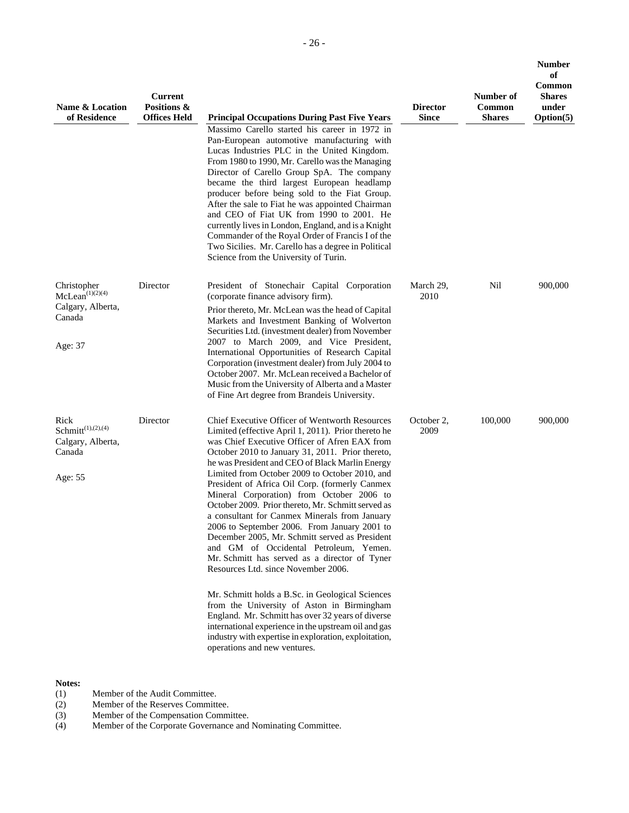| Name & Location<br>of Residence                                               | <b>Current</b><br>Positions &<br><b>Offices Held</b> | <b>Principal Occupations During Past Five Years</b>                                                                                                                                                                                                                                                                                                                                                                                                                                                                                                                                                                                                                                                                                                                                                                                                                                                                                                                                                                                                               | <b>Director</b><br>Since | Number of<br>Common<br><b>Shares</b> | <b>Number</b><br>of<br>Common<br><b>Shares</b><br>under<br>Option(5) |
|-------------------------------------------------------------------------------|------------------------------------------------------|-------------------------------------------------------------------------------------------------------------------------------------------------------------------------------------------------------------------------------------------------------------------------------------------------------------------------------------------------------------------------------------------------------------------------------------------------------------------------------------------------------------------------------------------------------------------------------------------------------------------------------------------------------------------------------------------------------------------------------------------------------------------------------------------------------------------------------------------------------------------------------------------------------------------------------------------------------------------------------------------------------------------------------------------------------------------|--------------------------|--------------------------------------|----------------------------------------------------------------------|
|                                                                               |                                                      | Massimo Carello started his career in 1972 in<br>Pan-European automotive manufacturing with<br>Lucas Industries PLC in the United Kingdom.<br>From 1980 to 1990, Mr. Carello was the Managing<br>Director of Carello Group SpA. The company<br>became the third largest European headlamp<br>producer before being sold to the Fiat Group.<br>After the sale to Fiat he was appointed Chairman<br>and CEO of Fiat UK from 1990 to 2001. He<br>currently lives in London, England, and is a Knight<br>Commander of the Royal Order of Francis I of the<br>Two Sicilies. Mr. Carello has a degree in Political<br>Science from the University of Turin.                                                                                                                                                                                                                                                                                                                                                                                                             |                          |                                      |                                                                      |
| Christopher<br>$McLean^{(1)(2)(4)}$<br>Calgary, Alberta,<br>Canada<br>Age: 37 | Director                                             | President of Stonechair Capital Corporation<br>(corporate finance advisory firm).<br>Prior thereto, Mr. McLean was the head of Capital<br>Markets and Investment Banking of Wolverton<br>Securities Ltd. (investment dealer) from November<br>2007 to March 2009, and Vice President,<br>International Opportunities of Research Capital<br>Corporation (investment dealer) from July 2004 to<br>October 2007. Mr. McLean received a Bachelor of<br>Music from the University of Alberta and a Master<br>of Fine Art degree from Brandeis University.                                                                                                                                                                                                                                                                                                                                                                                                                                                                                                             | March 29,<br>2010        | Nil                                  | 900,000                                                              |
| Rick<br>$Schmitt^{(1),(2),(4)}$<br>Calgary, Alberta,<br>Canada<br>Age: 55     | Director                                             | Chief Executive Officer of Wentworth Resources<br>Limited (effective April 1, 2011). Prior thereto he<br>was Chief Executive Officer of Afren EAX from<br>October 2010 to January 31, 2011. Prior thereto,<br>he was President and CEO of Black Marlin Energy<br>Limited from October 2009 to October 2010, and<br>President of Africa Oil Corp. (formerly Canmex<br>Mineral Corporation) from October 2006 to<br>October 2009. Prior thereto, Mr. Schmitt served as<br>a consultant for Canmex Minerals from January<br>2006 to September 2006. From January 2001 to<br>December 2005, Mr. Schmitt served as President<br>and GM of Occidental Petroleum, Yemen.<br>Mr. Schmitt has served as a director of Tyner<br>Resources Ltd. since November 2006.<br>Mr. Schmitt holds a B.Sc. in Geological Sciences<br>from the University of Aston in Birmingham<br>England. Mr. Schmitt has over 32 years of diverse<br>international experience in the upstream oil and gas<br>industry with expertise in exploration, exploitation,<br>operations and new ventures. | October 2,<br>2009       | 100,000                              | 900,000                                                              |

# **Notes:**<br>(1)

- (1) Member of the Audit Committee.<br>
(2) Member of the Reserves Committ<br>
(3) Member of the Compensation Cor<br>
(4) Member of the Corporate Governa
- (2) Member of the Reserves Committee.
- (3) Member of the Compensation Committee.
- (4) Member of the Corporate Governance and Nominating Committee.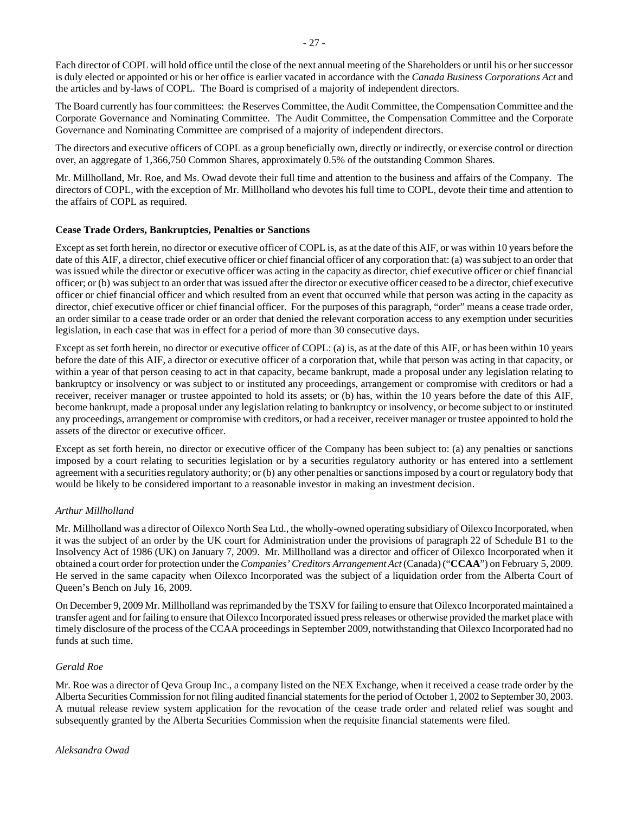Each director of COPL will hold office until the close of the next annual meeting of the Shareholders or until his or her successor is duly elected or appointed or his or her office is earlier vacated in accordance with the *Canada Business Corporations Act* and the articles and by-laws of COPL. The Board is comprised of a majority of independent directors.

The Board currently has four committees: the Reserves Committee, the Audit Committee, the Compensation Committee and the Corporate Governance and Nominating Committee. The Audit Committee, the Compensation Committee and the Corporate Governance and Nominating Committee are comprised of a majority of independent directors.

The directors and executive officers of COPL as a group beneficially own, directly or indirectly, or exercise control or direction over, an aggregate of 1,366,750 Common Shares, approximately 0.5% of the outstanding Common Shares.

Mr. Millholland, Mr. Roe, and Ms. Owad devote their full time and attention to the business and affairs of the Company. The directors of COPL, with the exception of Mr. Millholland who devotes his full time to COPL, devote their time and attention to the affairs of COPL as required.

#### **Cease Trade Orders, Bankruptcies, Penalties or Sanctions**

Except as set forth herein, no director or executive officer of COPL is, as at the date of this AIF, or was within 10 years before the date of this AIF, a director, chief executive officer or chief financial officer of any corporation that: (a) was subject to an order that was issued while the director or executive officer was acting in the capacity as director, chief executive officer or chief financial officer; or (b) was subject to an order that was issued after the director or executive officer ceased to be a director, chief executive officer or chief financial officer and which resulted from an event that occurred while that person was acting in the capacity as director, chief executive officer or chief financial officer. For the purposes of this paragraph, "order" means a cease trade order, an order similar to a cease trade order or an order that denied the relevant corporation access to any exemption under securities legislation, in each case that was in effect for a period of more than 30 consecutive days.

Except as set forth herein, no director or executive officer of COPL: (a) is, as at the date of this AIF, or has been within 10 years before the date of this AIF, a director or executive officer of a corporation that, while that person was acting in that capacity, or within a year of that person ceasing to act in that capacity, became bankrupt, made a proposal under any legislation relating to bankruptcy or insolvency or was subject to or instituted any proceedings, arrangement or compromise with creditors or had a receiver, receiver manager or trustee appointed to hold its assets; or (b) has, within the 10 years before the date of this AIF, become bankrupt, made a proposal under any legislation relating to bankruptcy or insolvency, or become subject to or instituted any proceedings, arrangement or compromise with creditors, or had a receiver, receiver manager or trustee appointed to hold the assets of the director or executive officer.

Except as set forth herein, no director or executive officer of the Company has been subject to: (a) any penalties or sanctions imposed by a court relating to securities legislation or by a securities regulatory authority or has entered into a settlement agreement with a securities regulatory authority; or (b) any other penalties or sanctions imposed by a court or regulatory body that would be likely to be considered important to a reasonable investor in making an investment decision.

# *Arthur Millholland*

Mr. Millholland was a director of Oilexco North Sea Ltd., the wholly-owned operating subsidiary of Oilexco Incorporated, when it was the subject of an order by the UK court for Administration under the provisions of paragraph 22 of Schedule B1 to the Insolvency Act of 1986 (UK) on January 7, 2009. Mr. Millholland was a director and officer of Oilexco Incorporated when it obtained a court order for protection under the *Companies' Creditors Arrangement Act* (Canada) ("**CCAA**") on February 5, 2009. He served in the same capacity when Oilexco Incorporated was the subject of a liquidation order from the Alberta Court of Queen's Bench on July 16, 2009.

On December 9, 2009 Mr. Millholland was reprimanded by the TSXV for failing to ensure that Oilexco Incorporated maintained a transfer agent and for failing to ensure that Oilexco Incorporated issued press releases or otherwise provided the market place with timely disclosure of the process of the CCAA proceedings in September 2009, notwithstanding that Oilexco Incorporated had no funds at such time.

#### *Gerald Roe*

Mr. Roe was a director of Qeva Group Inc., a company listed on the NEX Exchange, when it received a cease trade order by the Alberta Securities Commission for not filing audited financial statements for the period of October 1, 2002 to September 30, 2003. A mutual release review system application for the revocation of the cease trade order and related relief was sought and subsequently granted by the Alberta Securities Commission when the requisite financial statements were filed.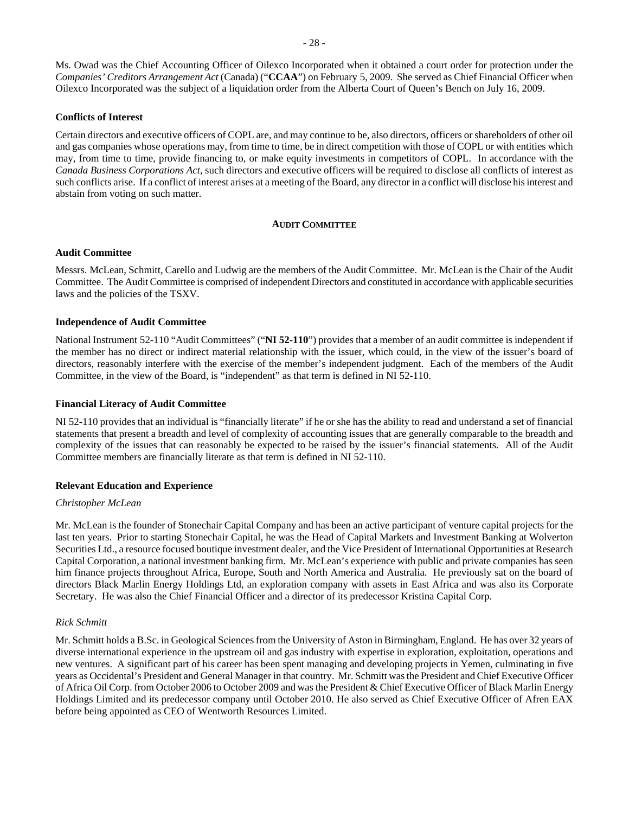Ms. Owad was the Chief Accounting Officer of Oilexco Incorporated when it obtained a court order for protection under the *Companies' Creditors Arrangement Act* (Canada) ("**CCAA**") on February 5, 2009. She served as Chief Financial Officer when Oilexco Incorporated was the subject of a liquidation order from the Alberta Court of Queen's Bench on July 16, 2009.

#### **Conflicts of Interest**

Certain directors and executive officers of COPL are, and may continue to be, also directors, officers or shareholders of other oil and gas companies whose operations may, from time to time, be in direct competition with those of COPL or with entities which may, from time to time, provide financing to, or make equity investments in competitors of COPL. In accordance with the *Canada Business Corporations Act*, such directors and executive officers will be required to disclose all conflicts of interest as such conflicts arise. If a conflict of interest arises at a meeting of the Board, any director in a conflict will disclose his interest and abstain from voting on such matter.

#### **AUDIT COMMITTEE**

#### **Audit Committee**

Messrs. McLean, Schmitt, Carello and Ludwig are the members of the Audit Committee. Mr. McLean is the Chair of the Audit Committee. The Audit Committee is comprised of independent Directors and constituted in accordance with applicable securities laws and the policies of the TSXV.

#### **Independence of Audit Committee**

National Instrument 52-110 "Audit Committees" ("**NI 52-110**") provides that a member of an audit committee is independent if the member has no direct or indirect material relationship with the issuer, which could, in the view of the issuer's board of directors, reasonably interfere with the exercise of the member's independent judgment. Each of the members of the Audit Committee, in the view of the Board, is "independent" as that term is defined in NI 52-110.

#### **Financial Literacy of Audit Committee**

NI 52-110 provides that an individual is "financially literate" if he or she has the ability to read and understand a set of financial statements that present a breadth and level of complexity of accounting issues that are generally comparable to the breadth and complexity of the issues that can reasonably be expected to be raised by the issuer's financial statements. All of the Audit Committee members are financially literate as that term is defined in NI 52-110.

#### **Relevant Education and Experience**

#### *Christopher McLean*

Mr. McLean is the founder of Stonechair Capital Company and has been an active participant of venture capital projects for the last ten years. Prior to starting Stonechair Capital, he was the Head of Capital Markets and Investment Banking at Wolverton Securities Ltd., a resource focused boutique investment dealer, and the Vice President of International Opportunities at Research Capital Corporation, a national investment banking firm. Mr. McLean's experience with public and private companies has seen him finance projects throughout Africa, Europe, South and North America and Australia. He previously sat on the board of directors Black Marlin Energy Holdings Ltd, an exploration company with assets in East Africa and was also its Corporate Secretary. He was also the Chief Financial Officer and a director of its predecessor Kristina Capital Corp.

#### *Rick Schmitt*

Mr. Schmitt holds a B.Sc. in Geological Sciences from the University of Aston in Birmingham, England. He has over 32 years of diverse international experience in the upstream oil and gas industry with expertise in exploration, exploitation, operations and new ventures. A significant part of his career has been spent managing and developing projects in Yemen, culminating in five years as Occidental's President and General Manager in that country. Mr. Schmitt was the President and Chief Executive Officer of Africa Oil Corp. from October 2006 to October 2009 and was the President & Chief Executive Officer of Black Marlin Energy Holdings Limited and its predecessor company until October 2010. He also served as Chief Executive Officer of Afren EAX before being appointed as CEO of Wentworth Resources Limited.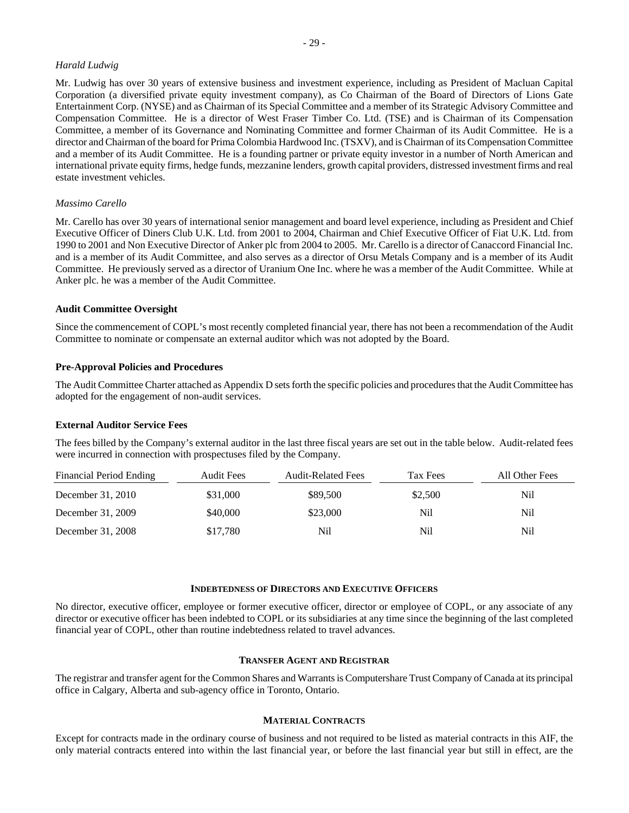#### *Harald Ludwig*

Mr. Ludwig has over 30 years of extensive business and investment experience, including as President of Macluan Capital Corporation (a diversified private equity investment company), as Co Chairman of the Board of Directors of Lions Gate Entertainment Corp. (NYSE) and as Chairman of its Special Committee and a member of its Strategic Advisory Committee and Compensation Committee. He is a director of West Fraser Timber Co. Ltd. (TSE) and is Chairman of its Compensation Committee, a member of its Governance and Nominating Committee and former Chairman of its Audit Committee. He is a director and Chairman of the board for Prima Colombia Hardwood Inc. (TSXV), and is Chairman of its Compensation Committee and a member of its Audit Committee. He is a founding partner or private equity investor in a number of North American and international private equity firms, hedge funds, mezzanine lenders, growth capital providers, distressed investment firms and real estate investment vehicles.

#### *Massimo Carello*

Mr. Carello has over 30 years of international senior management and board level experience, including as President and Chief Executive Officer of Diners Club U.K. Ltd. from 2001 to 2004, Chairman and Chief Executive Officer of Fiat U.K. Ltd. from 1990 to 2001 and Non Executive Director of Anker plc from 2004 to 2005. Mr. Carello is a director of Canaccord Financial Inc. and is a member of its Audit Committee, and also serves as a director of Orsu Metals Company and is a member of its Audit Committee. He previously served as a director of Uranium One Inc. where he was a member of the Audit Committee. While at Anker plc. he was a member of the Audit Committee.

#### **Audit Committee Oversight**

Since the commencement of COPL's most recently completed financial year, there has not been a recommendation of the Audit Committee to nominate or compensate an external auditor which was not adopted by the Board.

#### **Pre-Approval Policies and Procedures**

The Audit Committee Charter attached as Appendix D sets forth the specific policies and procedures that the Audit Committee has adopted for the engagement of non-audit services.

#### **External Auditor Service Fees**

The fees billed by the Company's external auditor in the last three fiscal years are set out in the table below. Audit-related fees were incurred in connection with prospectuses filed by the Company.

| Financial Period Ending | <b>Audit Fees</b> | <b>Audit-Related Fees</b> | Tax Fees | All Other Fees |
|-------------------------|-------------------|---------------------------|----------|----------------|
| December 31, 2010       | \$31,000          | \$89,500                  | \$2,500  | Nil            |
| December 31, 2009       | \$40,000          | \$23,000                  | Nil      | Nil            |
| December 31, 2008       | \$17,780          | Nil                       | Nil      | Nil            |

#### **INDEBTEDNESS OF DIRECTORS AND EXECUTIVE OFFICERS**

No director, executive officer, employee or former executive officer, director or employee of COPL, or any associate of any director or executive officer has been indebted to COPL or its subsidiaries at any time since the beginning of the last completed financial year of COPL, other than routine indebtedness related to travel advances.

#### **TRANSFER AGENT AND REGISTRAR**

The registrar and transfer agent for the Common Shares and Warrants is Computershare Trust Company of Canada at its principal office in Calgary, Alberta and sub-agency office in Toronto, Ontario.

#### **MATERIAL CONTRACTS**

Except for contracts made in the ordinary course of business and not required to be listed as material contracts in this AIF, the only material contracts entered into within the last financial year, or before the last financial year but still in effect, are the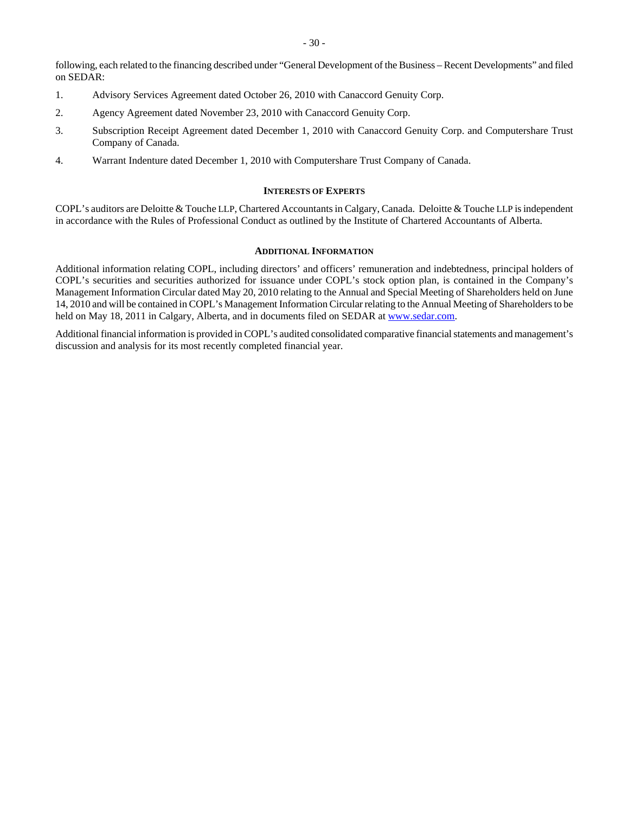following, each related to the financing described under "General Development of the Business – Recent Developments" and filed on SEDAR:

- 1. Advisory Services Agreement dated October 26, 2010 with Canaccord Genuity Corp.
- 2. Agency Agreement dated November 23, 2010 with Canaccord Genuity Corp.
- 3. Subscription Receipt Agreement dated December 1, 2010 with Canaccord Genuity Corp. and Computershare Trust Company of Canada.
- 4. Warrant Indenture dated December 1, 2010 with Computershare Trust Company of Canada.

#### **INTERESTS OF EXPERTS**

COPL's auditors are Deloitte & Touche LLP, Chartered Accountants in Calgary, Canada. Deloitte & Touche LLP is independent in accordance with the Rules of Professional Conduct as outlined by the Institute of Chartered Accountants of Alberta.

# **ADDITIONAL INFORMATION**

Additional information relating COPL, including directors' and officers' remuneration and indebtedness, principal holders of COPL's securities and securities authorized for issuance under COPL's stock option plan, is contained in the Company's Management Information Circular dated May 20, 2010 relating to the Annual and Special Meeting of Shareholders held on June 14, 2010 and will be contained in COPL's Management Information Circular relating to the Annual Meeting of Shareholders to be held on May 18, 2011 in Calgary, Alberta, and in documents filed on SEDAR at www.sedar.com.

Additional financial information is provided in COPL's audited consolidated comparative financial statements and management's discussion and analysis for its most recently completed financial year.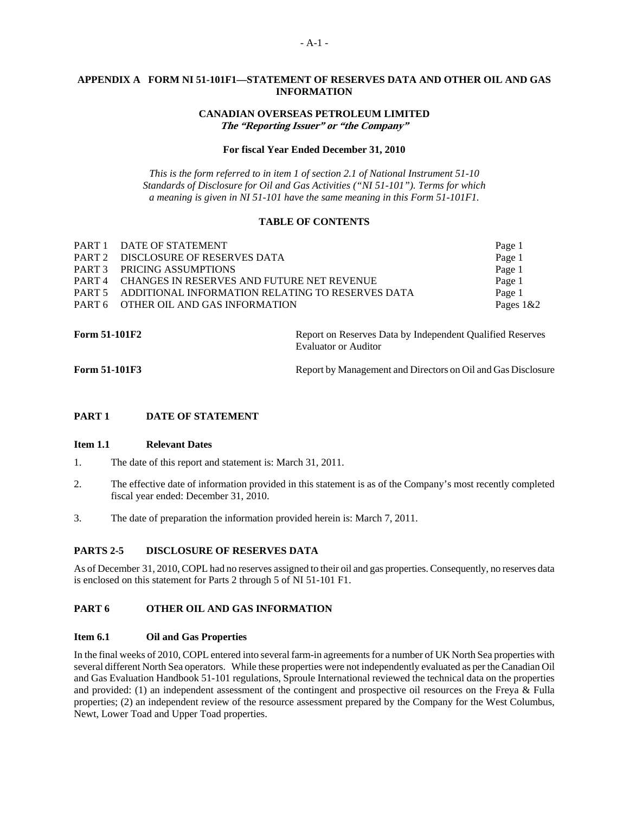# **APPENDIX A FORM NI 51-101F1—STATEMENT OF RESERVES DATA AND OTHER OIL AND GAS INFORMATION**

# **CANADIAN OVERSEAS PETROLEUM LIMITED The "Reporting Issuer" or "the Company"**

#### **For fiscal Year Ended December 31, 2010**

*This is the form referred to in item 1 of section 2.1 of National Instrument 51-10 Standards of Disclosure for Oil and Gas Activities ("NI 51-101"). Terms for which a meaning is given in NI 51-101 have the same meaning in this Form 51-101F1.* 

#### **TABLE OF CONTENTS**

| PART 1 DATE OF STATEMENT                                 | Page 1       |
|----------------------------------------------------------|--------------|
| PART 2 DISCLOSURE OF RESERVES DATA                       | Page 1       |
| PART 3 PRICING ASSUMPTIONS                               | Page 1       |
| <b>PART 4 CHANGES IN RESERVES AND FUTURE NET REVENUE</b> | Page 1       |
| PART 5 ADDITIONAL INFORMATION RELATING TO RESERVES DATA  | Page 1       |
| PART 6 OTHER OIL AND GAS INFORMATION                     | Pages $1&82$ |
|                                                          |              |

**Form 51-101F2 Report on Reserves Data by Independent Qualified Reserves Report on Reserves** Evaluator or Auditor

**Form 51-101F3** Report by Management and Directors on Oil and Gas Disclosure

#### **PART 1 DATE OF STATEMENT**

#### **Item 1.1 Relevant Dates**

- 1. The date of this report and statement is: March 31, 2011.
- 2. The effective date of information provided in this statement is as of the Company's most recently completed fiscal year ended: December 31, 2010.
- 3. The date of preparation the information provided herein is: March 7, 2011.

# **PARTS 2-5 DISCLOSURE OF RESERVES DATA**

As of December 31, 2010, COPL had no reserves assigned to their oil and gas properties. Consequently, no reserves data is enclosed on this statement for Parts 2 through 5 of NI 51-101 F1.

# **PART 6 OTHER OIL AND GAS INFORMATION**

#### **Item 6.1 Oil and Gas Properties**

In the final weeks of 2010, COPL entered into several farm-in agreements for a number of UK North Sea properties with several different North Sea operators. While these properties were not independently evaluated as per the Canadian Oil and Gas Evaluation Handbook 51-101 regulations, Sproule International reviewed the technical data on the properties and provided: (1) an independent assessment of the contingent and prospective oil resources on the Freya & Fulla properties; (2) an independent review of the resource assessment prepared by the Company for the West Columbus, Newt, Lower Toad and Upper Toad properties.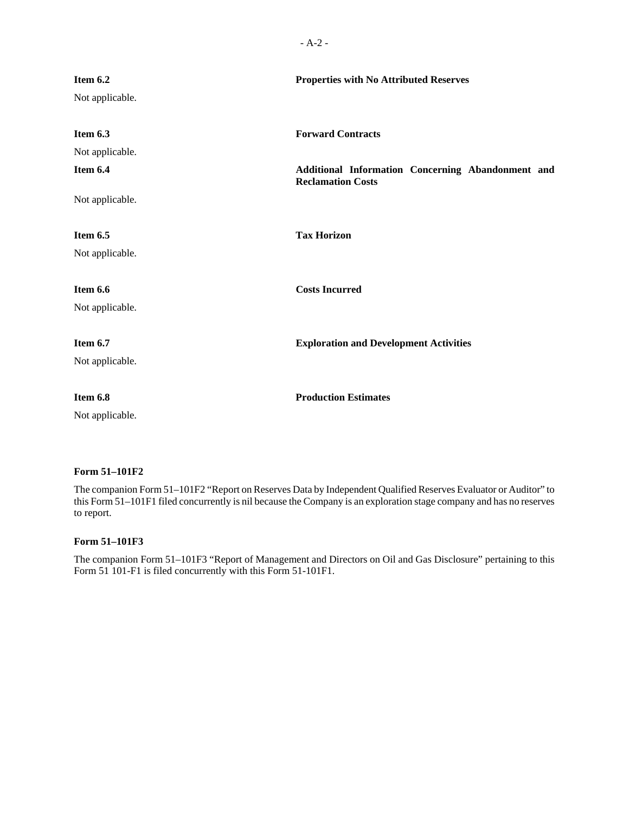| Item 6.2<br>Not applicable.                                | <b>Properties with No Attributed Reserves</b>                                                             |
|------------------------------------------------------------|-----------------------------------------------------------------------------------------------------------|
| Item 6.3<br>Not applicable.<br>Item 6.4<br>Not applicable. | <b>Forward Contracts</b><br>Additional Information Concerning Abandonment and<br><b>Reclamation Costs</b> |
| Item 6.5<br>Not applicable.                                | <b>Tax Horizon</b>                                                                                        |
| Item 6.6<br>Not applicable.                                | <b>Costs Incurred</b>                                                                                     |
| Item 6.7<br>Not applicable.                                | <b>Exploration and Development Activities</b>                                                             |
| Item 6.8<br>Not applicable.                                | <b>Production Estimates</b>                                                                               |

# **Form 51–101F2**

The companion Form 51–101F2 "Report on Reserves Data by Independent Qualified Reserves Evaluator or Auditor" to this Form 51–101F1 filed concurrently is nil because the Company is an exploration stage company and has no reserves to report.

# **Form 51–101F3**

The companion Form 51–101F3 "Report of Management and Directors on Oil and Gas Disclosure" pertaining to this Form 51 101-F1 is filed concurrently with this Form 51-101F1.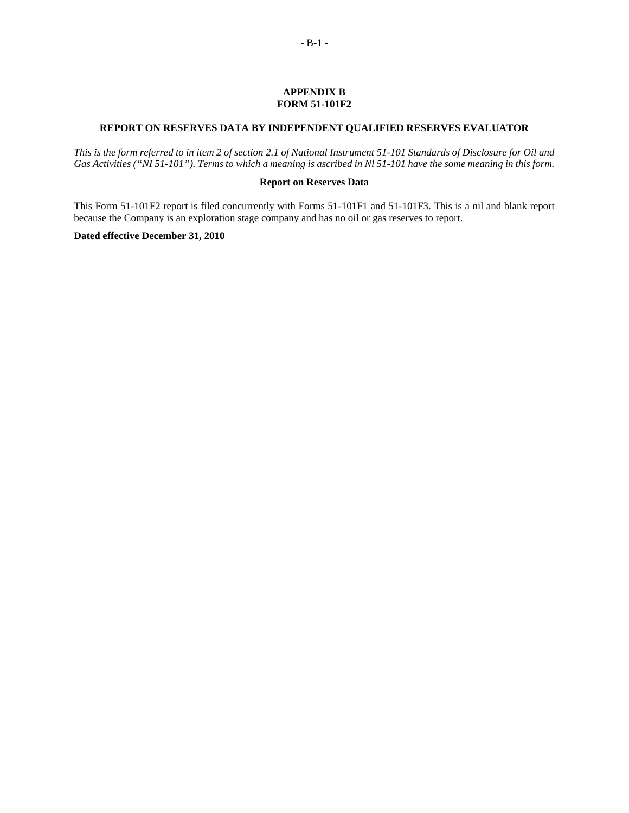#### **APPENDIX B FORM 51-101F2**

# **REPORT ON RESERVES DATA BY INDEPENDENT QUALIFIED RESERVES EVALUATOR**

*This is the form referred to in item 2 of section 2.1 of National Instrument 51-101 Standards of Disclosure for Oil and Gas Activities ("NI 51-101"). Terms to which a meaning is ascribed in Nl 51-101 have the some meaning in this form.* 

#### **Report on Reserves Data**

This Form 51-101F2 report is filed concurrently with Forms 51-101F1 and 51-101F3. This is a nil and blank report because the Company is an exploration stage company and has no oil or gas reserves to report.

# **Dated effective December 31, 2010**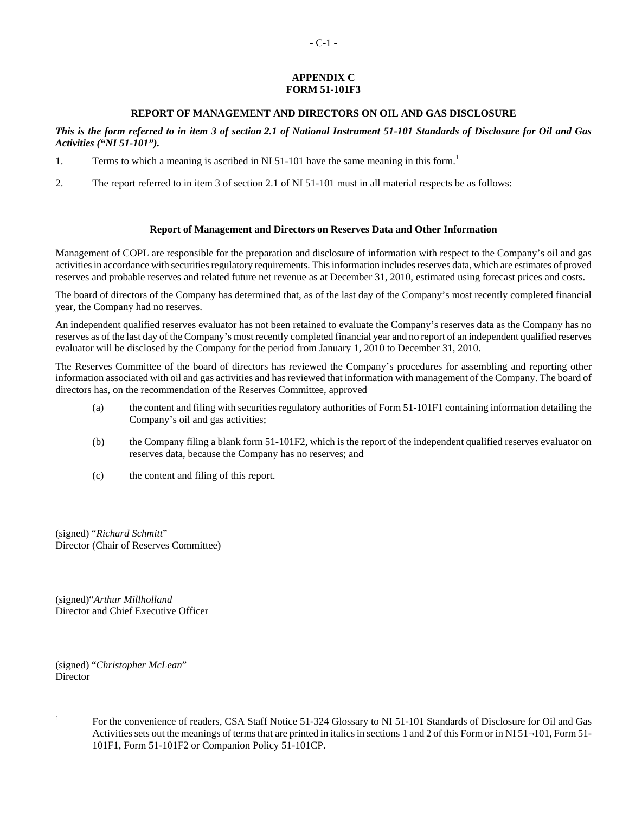# **APPENDIX C FORM 51-101F3**

# **REPORT OF MANAGEMENT AND DIRECTORS ON OIL AND GAS DISCLOSURE**

*This is the form referred to in item 3 of section 2.1 of National Instrument 51-101 Standards of Disclosure for Oil and Gas Activities ("NI 51-101").* 

- 1. Terms to which a meaning is ascribed in NI 51-101 have the same meaning in this form.<sup>1</sup>
- 2. The report referred to in item 3 of section 2.1 of NI 51-101 must in all material respects be as follows:

# **Report of Management and Directors on Reserves Data and Other Information**

Management of COPL are responsible for the preparation and disclosure of information with respect to the Company's oil and gas activities in accordance with securities regulatory requirements. This information includes reserves data, which are estimates of proved reserves and probable reserves and related future net revenue as at December 31, 2010, estimated using forecast prices and costs.

The board of directors of the Company has determined that, as of the last day of the Company's most recently completed financial year, the Company had no reserves.

An independent qualified reserves evaluator has not been retained to evaluate the Company's reserves data as the Company has no reserves as of the last day of the Company's most recently completed financial year and no report of an independent qualified reserves evaluator will be disclosed by the Company for the period from January 1, 2010 to December 31, 2010.

The Reserves Committee of the board of directors has reviewed the Company's procedures for assembling and reporting other information associated with oil and gas activities and has reviewed that information with management of the Company. The board of directors has, on the recommendation of the Reserves Committee, approved

- (a) the content and filing with securities regulatory authorities of Form 51-101F1 containing information detailing the Company's oil and gas activities;
- (b) the Company filing a blank form 51-101F2, which is the report of the independent qualified reserves evaluator on reserves data, because the Company has no reserves; and
- (c) the content and filing of this report.

(signed) "*Richard Schmitt*" Director (Chair of Reserves Committee)

(signed)"*Arthur Millholland* Director and Chief Executive Officer

(signed) "*Christopher McLean*" Director

<sup>|&</sup>lt;br>|<br>|

For the convenience of readers, CSA Staff Notice 51-324 Glossary to NI 51-101 Standards of Disclosure for Oil and Gas Activities sets out the meanings of terms that are printed in italics in sections 1 and 2 of this Form or in NI 51¬101, Form 51- 101F1, Form 51-101F2 or Companion Policy 51-101CP.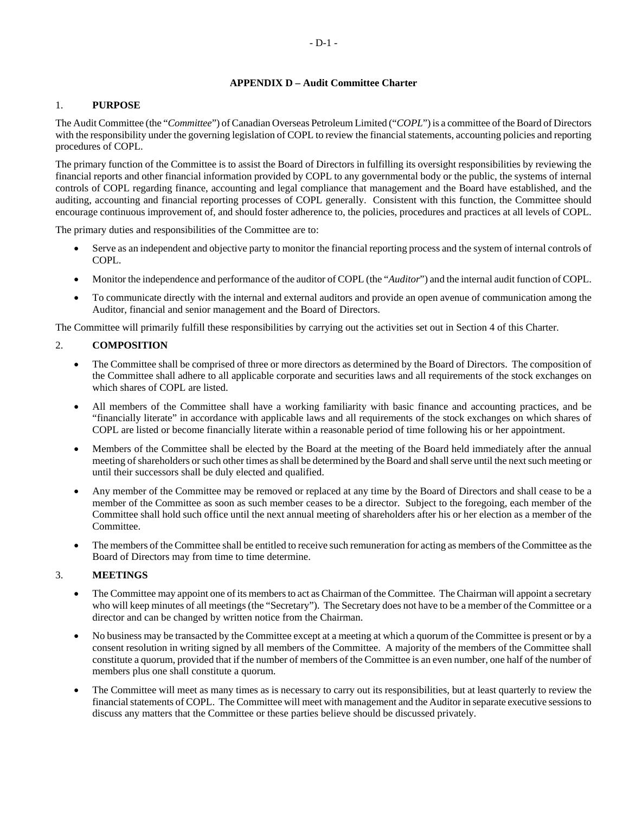# **APPENDIX D – Audit Committee Charter**

# 1. **PURPOSE**

The Audit Committee (the "*Committee*") of Canadian Overseas Petroleum Limited ("*COPL*") is a committee of the Board of Directors with the responsibility under the governing legislation of COPL to review the financial statements, accounting policies and reporting procedures of COPL.

The primary function of the Committee is to assist the Board of Directors in fulfilling its oversight responsibilities by reviewing the financial reports and other financial information provided by COPL to any governmental body or the public, the systems of internal controls of COPL regarding finance, accounting and legal compliance that management and the Board have established, and the auditing, accounting and financial reporting processes of COPL generally. Consistent with this function, the Committee should encourage continuous improvement of, and should foster adherence to, the policies, procedures and practices at all levels of COPL.

The primary duties and responsibilities of the Committee are to:

- Serve as an independent and objective party to monitor the financial reporting process and the system of internal controls of COPL.
- Monitor the independence and performance of the auditor of COPL (the "*Auditor*") and the internal audit function of COPL.
- To communicate directly with the internal and external auditors and provide an open avenue of communication among the Auditor, financial and senior management and the Board of Directors.

The Committee will primarily fulfill these responsibilities by carrying out the activities set out in Section 4 of this Charter.

# 2. **COMPOSITION**

- The Committee shall be comprised of three or more directors as determined by the Board of Directors. The composition of the Committee shall adhere to all applicable corporate and securities laws and all requirements of the stock exchanges on which shares of COPL are listed.
- All members of the Committee shall have a working familiarity with basic finance and accounting practices, and be "financially literate" in accordance with applicable laws and all requirements of the stock exchanges on which shares of COPL are listed or become financially literate within a reasonable period of time following his or her appointment.
- Members of the Committee shall be elected by the Board at the meeting of the Board held immediately after the annual meeting of shareholders or such other times as shall be determined by the Board and shall serve until the next such meeting or until their successors shall be duly elected and qualified.
- Any member of the Committee may be removed or replaced at any time by the Board of Directors and shall cease to be a member of the Committee as soon as such member ceases to be a director. Subject to the foregoing, each member of the Committee shall hold such office until the next annual meeting of shareholders after his or her election as a member of the Committee.
- The members of the Committee shall be entitled to receive such remuneration for acting as members of the Committee as the Board of Directors may from time to time determine.

# 3. **MEETINGS**

- The Committee may appoint one of its members to act as Chairman of the Committee. The Chairman will appoint a secretary who will keep minutes of all meetings (the "Secretary"). The Secretary does not have to be a member of the Committee or a director and can be changed by written notice from the Chairman.
- No business may be transacted by the Committee except at a meeting at which a quorum of the Committee is present or by a consent resolution in writing signed by all members of the Committee. A majority of the members of the Committee shall constitute a quorum, provided that if the number of members of the Committee is an even number, one half of the number of members plus one shall constitute a quorum.
- The Committee will meet as many times as is necessary to carry out its responsibilities, but at least quarterly to review the financial statements of COPL. The Committee will meet with management and the Auditor in separate executive sessions to discuss any matters that the Committee or these parties believe should be discussed privately.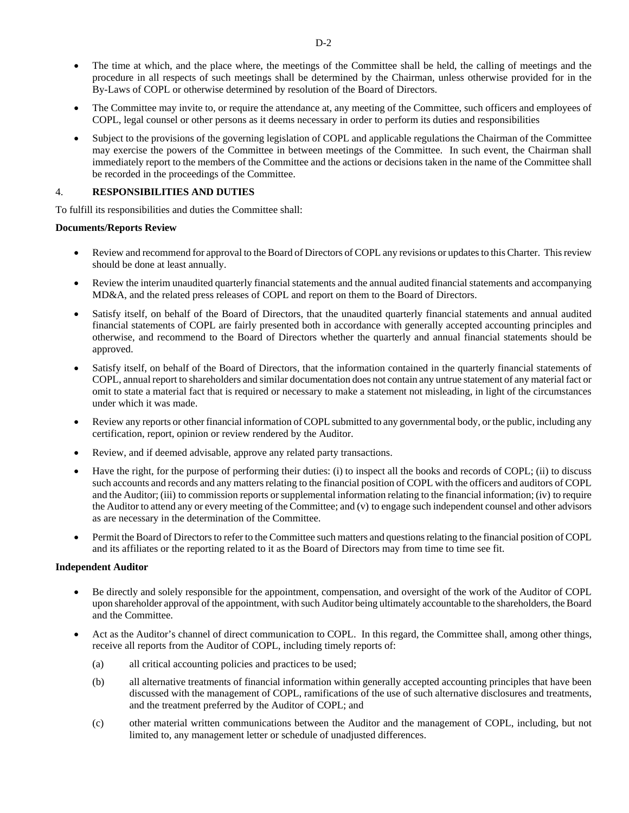- The time at which, and the place where, the meetings of the Committee shall be held, the calling of meetings and the procedure in all respects of such meetings shall be determined by the Chairman, unless otherwise provided for in the By-Laws of COPL or otherwise determined by resolution of the Board of Directors.
- The Committee may invite to, or require the attendance at, any meeting of the Committee, such officers and employees of COPL, legal counsel or other persons as it deems necessary in order to perform its duties and responsibilities
- Subject to the provisions of the governing legislation of COPL and applicable regulations the Chairman of the Committee may exercise the powers of the Committee in between meetings of the Committee. In such event, the Chairman shall immediately report to the members of the Committee and the actions or decisions taken in the name of the Committee shall be recorded in the proceedings of the Committee.

# 4. **RESPONSIBILITIES AND DUTIES**

To fulfill its responsibilities and duties the Committee shall:

# **Documents/Reports Review**

- Review and recommend for approval to the Board of Directors of COPL any revisions or updates to this Charter. This review should be done at least annually.
- Review the interim unaudited quarterly financial statements and the annual audited financial statements and accompanying MD&A, and the related press releases of COPL and report on them to the Board of Directors.
- Satisfy itself, on behalf of the Board of Directors, that the unaudited quarterly financial statements and annual audited financial statements of COPL are fairly presented both in accordance with generally accepted accounting principles and otherwise, and recommend to the Board of Directors whether the quarterly and annual financial statements should be approved.
- Satisfy itself, on behalf of the Board of Directors, that the information contained in the quarterly financial statements of COPL, annual report to shareholders and similar documentation does not contain any untrue statement of any material fact or omit to state a material fact that is required or necessary to make a statement not misleading, in light of the circumstances under which it was made.
- Review any reports or other financial information of COPL submitted to any governmental body, or the public, including any certification, report, opinion or review rendered by the Auditor.
- Review, and if deemed advisable, approve any related party transactions.
- Have the right, for the purpose of performing their duties: (i) to inspect all the books and records of COPL; (ii) to discuss such accounts and records and any matters relating to the financial position of COPL with the officers and auditors of COPL and the Auditor; (iii) to commission reports or supplemental information relating to the financial information; (iv) to require the Auditor to attend any or every meeting of the Committee; and (v) to engage such independent counsel and other advisors as are necessary in the determination of the Committee.
- Permit the Board of Directors to refer to the Committee such matters and questions relating to the financial position of COPL and its affiliates or the reporting related to it as the Board of Directors may from time to time see fit.

# **Independent Auditor**

- Be directly and solely responsible for the appointment, compensation, and oversight of the work of the Auditor of COPL upon shareholder approval of the appointment, with such Auditor being ultimately accountable to the shareholders, the Board and the Committee.
- Act as the Auditor's channel of direct communication to COPL. In this regard, the Committee shall, among other things, receive all reports from the Auditor of COPL, including timely reports of:
	- (a) all critical accounting policies and practices to be used;
	- (b) all alternative treatments of financial information within generally accepted accounting principles that have been discussed with the management of COPL, ramifications of the use of such alternative disclosures and treatments, and the treatment preferred by the Auditor of COPL; and
	- (c) other material written communications between the Auditor and the management of COPL, including, but not limited to, any management letter or schedule of unadjusted differences.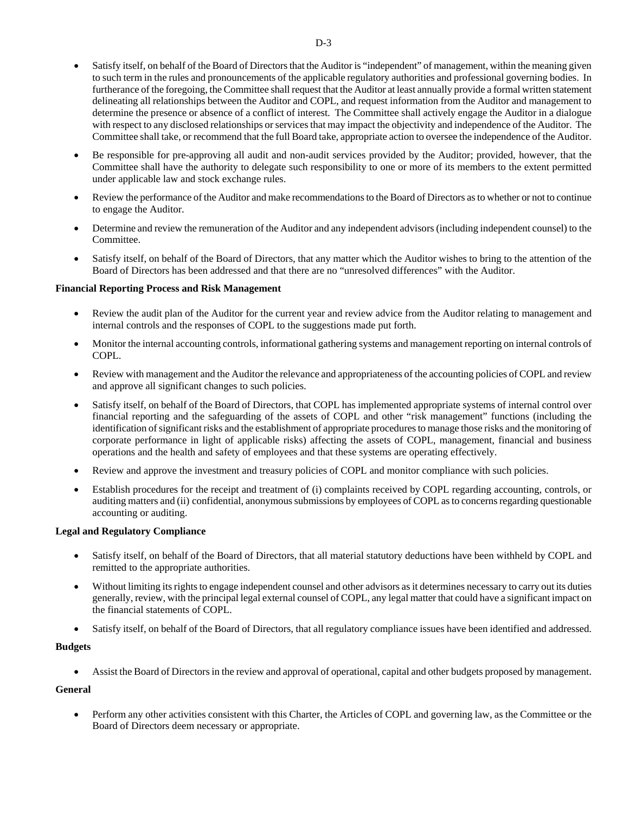- Satisfy itself, on behalf of the Board of Directors that the Auditor is "independent" of management, within the meaning given to such term in the rules and pronouncements of the applicable regulatory authorities and professional governing bodies. In furtherance of the foregoing, the Committee shall request that the Auditor at least annually provide a formal written statement delineating all relationships between the Auditor and COPL, and request information from the Auditor and management to determine the presence or absence of a conflict of interest. The Committee shall actively engage the Auditor in a dialogue with respect to any disclosed relationships or services that may impact the objectivity and independence of the Auditor. The Committee shall take, or recommend that the full Board take, appropriate action to oversee the independence of the Auditor.
- Be responsible for pre-approving all audit and non-audit services provided by the Auditor; provided, however, that the Committee shall have the authority to delegate such responsibility to one or more of its members to the extent permitted under applicable law and stock exchange rules.
- Review the performance of the Auditor and make recommendations to the Board of Directors as to whether or not to continue to engage the Auditor.
- Determine and review the remuneration of the Auditor and any independent advisors (including independent counsel) to the Committee.
- Satisfy itself, on behalf of the Board of Directors, that any matter which the Auditor wishes to bring to the attention of the Board of Directors has been addressed and that there are no "unresolved differences" with the Auditor.

# **Financial Reporting Process and Risk Management**

- Review the audit plan of the Auditor for the current year and review advice from the Auditor relating to management and internal controls and the responses of COPL to the suggestions made put forth.
- Monitor the internal accounting controls, informational gathering systems and management reporting on internal controls of COPL.
- Review with management and the Auditor the relevance and appropriateness of the accounting policies of COPL and review and approve all significant changes to such policies.
- Satisfy itself, on behalf of the Board of Directors, that COPL has implemented appropriate systems of internal control over financial reporting and the safeguarding of the assets of COPL and other "risk management" functions (including the identification of significant risks and the establishment of appropriate procedures to manage those risks and the monitoring of corporate performance in light of applicable risks) affecting the assets of COPL, management, financial and business operations and the health and safety of employees and that these systems are operating effectively.
- Review and approve the investment and treasury policies of COPL and monitor compliance with such policies.
- Establish procedures for the receipt and treatment of (i) complaints received by COPL regarding accounting, controls, or auditing matters and (ii) confidential, anonymous submissions by employees of COPL as to concerns regarding questionable accounting or auditing.

#### **Legal and Regulatory Compliance**

- Satisfy itself, on behalf of the Board of Directors, that all material statutory deductions have been withheld by COPL and remitted to the appropriate authorities.
- Without limiting its rights to engage independent counsel and other advisors as it determines necessary to carry out its duties generally, review, with the principal legal external counsel of COPL, any legal matter that could have a significant impact on the financial statements of COPL.
- Satisfy itself, on behalf of the Board of Directors, that all regulatory compliance issues have been identified and addressed.

#### **Budgets**

Assist the Board of Directors in the review and approval of operational, capital and other budgets proposed by management.

# **General**

 Perform any other activities consistent with this Charter, the Articles of COPL and governing law, as the Committee or the Board of Directors deem necessary or appropriate.